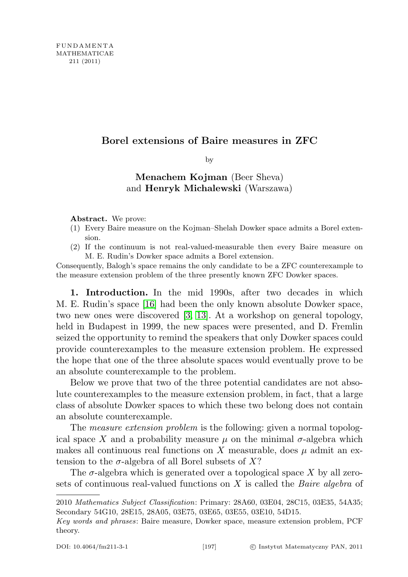## Borel extensions of Baire measures in ZFC

by

## Menachem Kojman (Beer Sheva) and Henryk Michalewski (Warszawa)

Abstract. We prove:

- (1) Every Baire measure on the Kojman–Shelah Dowker space admits a Borel extension.
- (2) If the continuum is not real-valued-measurable then every Baire measure on M. E. Rudin's Dowker space admits a Borel extension.

Consequently, Balogh's space remains the only candidate to be a ZFC counterexample to the measure extension problem of the three presently known ZFC Dowker spaces.

1. Introduction. In the mid 1990s, after two decades in which M. E. Rudin's space [\[16\]](#page-26-0) had been the only known absolute Dowker space, two new ones were discovered [\[3,](#page-25-0) [13\]](#page-26-1). At a workshop on general topology, held in Budapest in 1999, the new spaces were presented, and D. Fremlin seized the opportunity to remind the speakers that only Dowker spaces could provide counterexamples to the measure extension problem. He expressed the hope that one of the three absolute spaces would eventually prove to be an absolute counterexample to the problem.

Below we prove that two of the three potential candidates are not absolute counterexamples to the measure extension problem, in fact, that a large class of absolute Dowker spaces to which these two belong does not contain an absolute counterexample.

The *measure extension problem* is the following: given a normal topological space X and a probability measure  $\mu$  on the minimal  $\sigma$ -algebra which makes all continuous real functions on X measurable, does  $\mu$  admit an extension to the  $\sigma$ -algebra of all Borel subsets of X?

The  $\sigma$ -algebra which is generated over a topological space X by all zerosets of continuous real-valued functions on  $X$  is called the *Baire algebra* of

<sup>2010</sup> Mathematics Subject Classification: Primary: 28A60, 03E04, 28C15, 03E35, 54A35; Secondary 54G10, 28E15, 28A05, 03E75, 03E65, 03E55, 03E10, 54D15.

Key words and phrases: Baire measure, Dowker space, measure extension problem, PCF theory.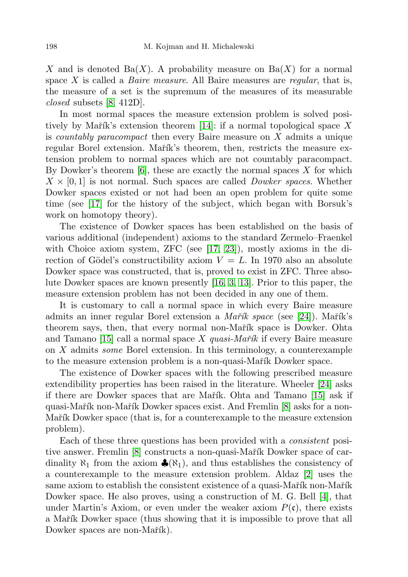X and is denoted  $Ba(X)$ . A probability measure on  $Ba(X)$  for a normal space  $X$  is called a *Baire measure*. All Baire measures are *regular*, that is, the measure of a set is the supremum of the measures of its measurable closed subsets [\[8,](#page-25-1) 412D].

In most normal spaces the measure extension problem is solved posi-tively by Mařík's extension theorem [\[14\]](#page-26-2): if a normal topological space X is countably paracompact then every Baire measure on X admits a unique regular Borel extension. Martha<sup>'s</sup> theorem, then, restricts the measure extension problem to normal spaces which are not countably paracompact. By Dowker's theorem  $[6]$ , these are exactly the normal spaces X for which  $X \times [0, 1]$  is not normal. Such spaces are called *Dowker spaces*. Whether Dowker spaces existed or not had been an open problem for quite some time (see [\[17\]](#page-26-3) for the history of the subject, which began with Borsuk's work on homotopy theory).

The existence of Dowker spaces has been established on the basis of various additional (independent) axioms to the standard Zermelo–Fraenkel with Choice axiom system, ZFC (see [\[17,](#page-26-3) [23\]](#page-26-4)), mostly axioms in the direction of Gödel's constructibility axiom  $V = L$ . In 1970 also an absolute Dowker space was constructed, that is, proved to exist in ZFC. Three absolute Dowker spaces are known presently [\[16,](#page-26-0) [3,](#page-25-0) [13\]](#page-26-1). Prior to this paper, the measure extension problem has not been decided in any one of them.

It is customary to call a normal space in which every Baire measure admits an inner regular Borel extension a Mařík space (see [\[24\]](#page-26-5)). Mařík's theorem says, then, that every normal non-Martik space is Dowker. Ohta and Tamano [\[15\]](#page-26-6) call a normal space X quasi-Mar $\tilde{\alpha}$  if every Baire measure on  $X$  admits *some* Borel extension. In this terminology, a counterexample to the measure extension problem is a non-quasi-Mar<sup>\*</sup>ik Dowker space.

The existence of Dowker spaces with the following prescribed measure extendibility properties has been raised in the literature. Wheeler [\[24\]](#page-26-5) asks if there are Dowker spaces that are Martik. Ohta and Tamano [\[15\]](#page-26-6) ask if quasi-Mařík non-Mařík Dowker spaces exist. And Fremlin [\[8\]](#page-25-1) asks for a non-Mařík Dowker space (that is, for a counterexample to the measure extension problem).

Each of these three questions has been provided with a consistent posi-tive answer. Fremlin [\[8\]](#page-25-1) constructs a non-quasi-Mar̆ik Dowker space of cardinality  $\aleph_1$  from the axiom  $\clubsuit(\aleph_1)$ , and thus establishes the consistency of a counterexample to the measure extension problem. Aldaz [\[2\]](#page-25-3) uses the same axiom to establish the consistent existence of a quasi-Mar̃ik non-Mar̃ik Dowker space. He also proves, using a construction of M. G. Bell [\[4\]](#page-25-4), that under Martin's Axiom, or even under the weaker axiom  $P(\mathfrak{c})$ , there exists a Mařík Dowker space (thus showing that it is impossible to prove that all Dowker spaces are non-Mařík).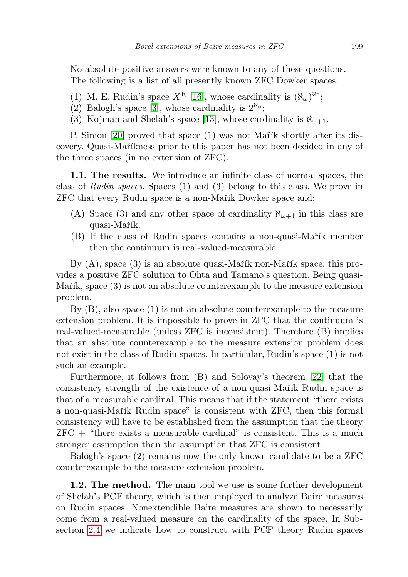No absolute positive answers were known to any of these questions. The following is a list of all presently known ZFC Dowker spaces:

- (1) M. E. Rudin's space  $X^R$  [\[16\]](#page-26-0), whose cardinality is  $(\aleph_\omega)^{\aleph_0}$ ;
- (2) Balogh's space [\[3\]](#page-25-0), whose cardinality is  $2^{\aleph_0}$ ;
- (3) Kojman and Shelah's space [\[13\]](#page-26-1), whose cardinality is  $\aleph_{\omega+1}$ .

P. Simon [\[20\]](#page-26-7) proved that space  $(1)$  was not Mart $\hat{\textbf{r}}$  shortly after its discovery. Quasi-Maříkness prior to this paper has not been decided in any of the three spaces (in no extension of ZFC).

1.1. The results. We introduce an infinite class of normal spaces, the class of Rudin spaces. Spaces (1) and (3) belong to this class. We prove in ZFC that every Rudin space is a non-Martik Dowker space and:

- (A) Space (3) and any other space of cardinality  $\aleph_{\omega+1}$  in this class are quasi-Mařík.
- (B) If the class of Rudin spaces contains a non-quasi-Mar<sup>nc</sup> member then the continuum is real-valued-measurable.

By  $(A)$ , space  $(3)$  is an absolute quasi-Marth non-Marth space; this provides a positive ZFC solution to Ohta and Tamano's question. Being quasi-Ma $\check{\text{r}}$ îk, space  $(3)$  is not an absolute counterexample to the measure extension problem.

By (B), also space (1) is not an absolute counterexample to the measure extension problem. It is impossible to prove in ZFC that the continuum is real-valued-measurable (unless ZFC is inconsistent). Therefore (B) implies that an absolute counterexample to the measure extension problem does not exist in the class of Rudin spaces. In particular, Rudin's space (1) is not such an example.

Furthermore, it follows from (B) and Solovay's theorem [\[22\]](#page-26-8) that the consistency strength of the existence of a non-quasi-Mart Rudin space is that of a measurable cardinal. This means that if the statement "there exists a non-quasi-Mařík Rudin space" is consistent with ZFC, then this formal consistency will have to be established from the assumption that the theory  $ZFC +$  "there exists a measurable cardinal" is consistent. This is a much stronger assumption than the assumption that ZFC is consistent.

Balogh's space (2) remains now the only known candidate to be a ZFC counterexample to the measure extension problem.

1.2. The method. The main tool we use is some further development of Shelah's PCF theory, which is then employed to analyze Baire measures on Rudin spaces. Nonextendible Baire measures are shown to necessarily come from a real-valued measure on the cardinality of the space. In Subsection [2.4](#page-11-0) we indicate how to construct with PCF theory Rudin spaces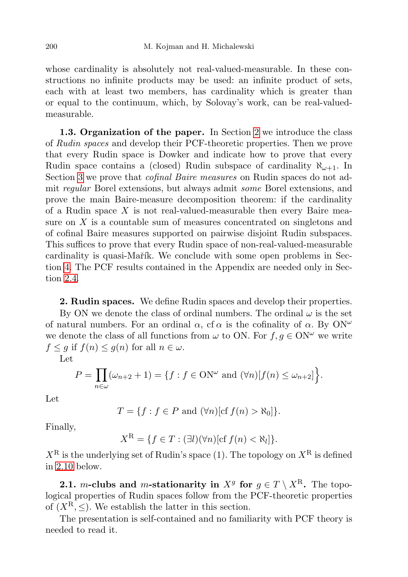whose cardinality is absolutely not real-valued-measurable. In these constructions no infinite products may be used: an infinite product of sets, each with at least two members, has cardinality which is greater than or equal to the continuum, which, by Solovay's work, can be real-valuedmeasurable.

1.3. Organization of the paper. In Section [2](#page-3-0) we introduce the class of Rudin spaces and develop their PCF-theoretic properties. Then we prove that every Rudin space is Dowker and indicate how to prove that every Rudin space contains a (closed) Rudin subspace of cardinality  $\aleph_{\omega+1}$ . In Section [3](#page-16-0) we prove that cofinal Baire measures on Rudin spaces do not admit regular Borel extensions, but always admit some Borel extensions, and prove the main Baire-measure decomposition theorem: if the cardinality of a Rudin space  $X$  is not real-valued-measurable then every Baire measure on X is a countable sum of measures concentrated on singletons and of cofinal Baire measures supported on pairwise disjoint Rudin subspaces. This suffices to prove that every Rudin space of non-real-valued-measurable cardinality is quasi-Martík. We conclude with some open problems in Section [4.](#page-23-0) The PCF results contained in the Appendix are needed only in Section [2.4.](#page-11-0)

<span id="page-3-0"></span>2. Rudin spaces. We define Rudin spaces and develop their properties.

By ON we denote the class of ordinal numbers. The ordinal  $\omega$  is the set of natural numbers. For an ordinal  $\alpha$ , cf  $\alpha$  is the cofinality of  $\alpha$ . By ON<sup> $\omega$ </sup> we denote the class of all functions from  $\omega$  to ON. For  $f, g \in \text{ON}^{\omega}$  we write  $f \leq g$  if  $f(n) \leq g(n)$  for all  $n \in \omega$ .

Let

$$
P = \prod_{n \in \omega} (\omega_{n+2} + 1) = \{ f : f \in \text{ON}^{\omega} \text{ and } (\forall n) [f(n) \le \omega_{n+2}] \}.
$$

Let

$$
T = \{ f : f \in P \text{ and } (\forall n) [\text{cf } f(n) > \aleph_0] \}.
$$

Finally,

$$
X^{\mathcal{R}} = \{ f \in T : (\exists l)(\forall n)[\text{cf } f(n) < \aleph_l] \}.
$$

 $X^{\text{R}}$  is the underlying set of Rudin's space (1). The topology on  $X^{\text{R}}$  is defined in [2.10](#page-7-0) below.

2.1. m-clubs and m-stationarity in  $X^g$  for  $g \in T \setminus X^{\mathbb{R}}$ . The topological properties of Rudin spaces follow from the PCF-theoretic properties of  $(X^{\mathcal{R}}, \leq)$ . We establish the latter in this section.

The presentation is self-contained and no familiarity with PCF theory is needed to read it.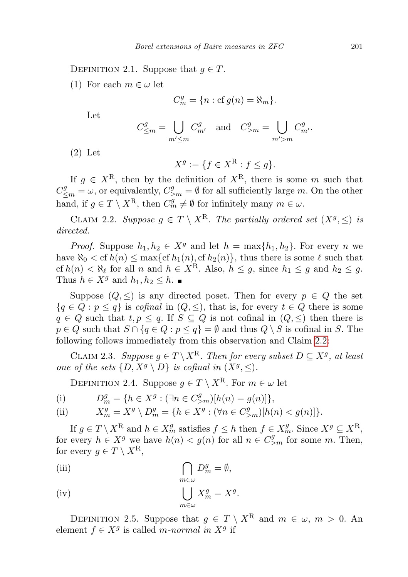DEFINITION 2.1. Suppose that  $q \in T$ .

(1) For each  $m \in \omega$  let

$$
C_m^g = \{ n : cf g(n) = \aleph_m \}.
$$

Let

$$
C_{\leq m}^g = \bigcup_{m' \leq m} C_{m'}^g \quad \text{and} \quad C_{\geq m}^g = \bigcup_{m' > m} C_{m'}^g.
$$

(2) Let

$$
X^g := \{ f \in X^\mathbf{R} : f \le g \}.
$$

If  $g \in X^{\mathcal{R}}$ , then by the definition of  $X^{\mathcal{R}}$ , there is some m such that  $C_{\leq m}^g = \omega$ , or equivalently,  $C_{\geq m}^g = \emptyset$  for all sufficiently large m. On the other hand, if  $g \in T \setminus X^{\mathbf{R}}$ , then  $C_m^g \neq \emptyset$  for infinitely many  $m \in \omega$ .

<span id="page-4-0"></span>CLAIM 2.2. Suppose  $g \in T \setminus X^{\mathbf{R}}$ . The partially ordered set  $(X^g, \leq)$  is directed.

*Proof.* Suppose  $h_1, h_2 \in X^g$  and let  $h = \max\{h_1, h_2\}$ . For every n we have  $\aleph_0 < \operatorname{cf} h(n) \leq \max\{\operatorname{cf} h_1(n), \operatorname{cf} h_2(n)\}\,$ , thus there is some  $\ell$  such that cf  $h(n) < \aleph_\ell$  for all n and  $h \in X^R$ . Also,  $h \leq g$ , since  $h_1 \leq g$  and  $h_2 \leq g$ . Thus  $h \in X^g$  and  $h_1, h_2 \leq h$ .

Suppose  $(Q, \leq)$  is any directed poset. Then for every  $p \in Q$  the set  ${q \in Q : p \leq q}$  is cofinal in  $(Q, \leq)$ , that is, for every  $t \in Q$  there is some  $q \in Q$  such that  $t, p \leq q$ . If  $S \subseteq Q$  is not cofinal in  $(Q, \leq)$  then there is  $p \in Q$  such that  $S \cap \{q \in Q : p \leq q\} = \emptyset$  and thus  $Q \setminus S$  is cofinal in S. The following follows immediately from this observation and Claim [2.2:](#page-4-0)

<span id="page-4-2"></span>CLAIM 2.3. Suppose  $g \in T \backslash X^{\mathbf{R}}$ . Then for every subset  $D \subseteq X^g$ , at least one of the sets  $\{D, X^g \setminus D\}$  is cofinal in  $(X^g, \leq)$ .

<span id="page-4-1"></span>DEFINITION 2.4. Suppose  $g \in T \setminus X^{\mathbf{R}}$ . For  $m \in \omega$  let

(i) 
$$
D_m^g = \{ h \in X^g : (\exists n \in C_{>m}^g) [h(n) = g(n)] \},
$$

(ii) 
$$
X_m^g = X^g \setminus D_m^g = \{ h \in X^g : (\forall n \in C_{>m}^g) [h(n) < g(n)] \}.
$$

If  $g \in T \setminus X^{\mathbb{R}}$  and  $h \in X_m^g$  satisfies  $f \leq h$  then  $f \in X_m^g$ . Since  $X^g \subseteq X^{\mathbb{R}}$ , for every  $h \in X^g$  we have  $h(n) < g(n)$  for all  $n \in C^g_{\geq m}$  for some m. Then, for every  $q \in T \setminus X^{\mathbf{R}}$ ,

(iii) 
$$
\bigcap_{m \in \omega} D_m^g = \emptyset,
$$

(iv) 
$$
\bigcup_{m \in \omega} X_m^g = X^g.
$$

DEFINITION 2.5. Suppose that  $g \in T \setminus X^R$  and  $m \in \omega, m > 0$ . An element  $f \in X^g$  is called m-normal in  $X^g$  if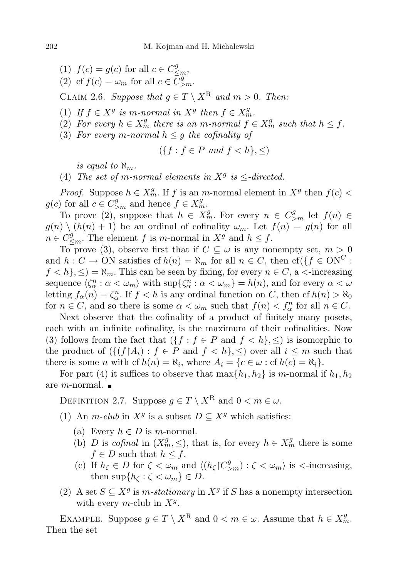- (1)  $f(c) = g(c)$  for all  $c \in C_{\leq m}^g$ ,
- (2) cf  $f(c) = \omega_m$  for all  $c \in \overline{C}^g_{>m}$ .

CLAIM 2.6. Suppose that  $g \in T \setminus X^R$  and  $m > 0$ . Then:

- (1) If  $f \in X^g$  is m-normal in  $X^g$  then  $f \in X^g_m$ .
- (2) For every  $h \in X_m^g$  there is an m-normal  $f \in X_m^g$  such that  $h \leq f$ .
- (3) For every m-normal  $h \leq g$  the cofinality of

$$
(\{f : f \in P \text{ and } f < h\}, \leq)
$$

is equal to  $\aleph_m$ .

(4) The set of m-normal elements in  $X^g$  is  $\leq$ -directed.

*Proof.* Suppose  $h \in X_m^g$ . If f is an m-normal element in  $X^g$  then  $f(c)$  <  $g(c)$  for all  $c \in C_{\geq m}^g$  and hence  $f \in X_m^g$ .

To prove (2), suppose that  $h \in X_m^g$ . For every  $n \in C_{\geq m}^g$  let  $f(n) \in$  $g(n) \setminus (h(n) + 1)$  be an ordinal of cofinality  $\omega_m$ . Let  $f(n) = g(n)$  for all  $n \in C^g_{\leq m}$ . The element f is m-normal in  $X^g$  and  $h \leq f$ .

To prove (3), observe first that if  $C \subseteq \omega$  is any nonempty set,  $m > 0$ and  $h: C \to ON$  satisfies cf  $h(n) = \aleph_m$  for all  $n \in C$ , then cf({ $f \in ON^C$ :  $f < h$ ,  $\leq$ ) =  $\aleph_m$ . This can be seen by fixing, for every  $n \in C$ , a  $\lt$ -increasing sequence  $\langle \zeta_\alpha^n : \alpha < \omega_m \rangle$  with  $\sup \{ \zeta_\alpha^n : \alpha < \omega_m \} = h(n)$ , and for every  $\alpha < \omega$ letting  $f_{\alpha}(n) = \zeta_{\alpha}^{n}$ . If  $f < h$  is any ordinal function on C, then cf  $h(n) > \aleph_0$ for  $n \in C$ , and so there is some  $\alpha < \omega_m$  such that  $f(n) < f_{\alpha}^n$  for all  $n \in C$ .

Next observe that the cofinality of a product of finitely many posets, each with an infinite cofinality, is the maximum of their cofinalities. Now (3) follows from the fact that  $(\{f : f \in P \text{ and } f < h\}, \leq)$  is isomorphic to the product of  $(\{(f \mid A_i) : f \in P \text{ and } f \le h\}, \le)$  over all  $i \le m$  such that there is some *n* with cf  $h(n) = \aleph_i$ , where  $A_i = \{c \in \omega : \text{cf } h(c) = \aleph_i\}.$ 

For part (4) it suffices to observe that  $\max\{h_1, h_2\}$  is m-normal if  $h_1, h_2$ are *m*-normal.  $\blacksquare$ 

<span id="page-5-0"></span>DEFINITION 2.7. Suppose  $g \in T \setminus X^{\mathbf{R}}$  and  $0 < m \in \omega$ .

- (1) An *m-club* in  $X^g$  is a subset  $D \subseteq X^g$  which satisfies:
	- (a) Every  $h \in D$  is *m*-normal.
	- (b) D is cofinal in  $(X_m^g, \leq)$ , that is, for every  $h \in X_m^g$  there is some  $f \in D$  such that  $h \leq f$ .
	- (c) If  $h_{\zeta} \in D$  for  $\zeta < \omega_m$  and  $\langle (h_{\zeta} \nvert C_{>m}^g) : \zeta < \omega_m \rangle$  is  $\langle$ -increasing, then  $\sup\{h_{\zeta} : \zeta < \omega_m\} \in D$ .
- (2) A set  $S \subseteq X^g$  is *m-stationary* in  $X^g$  if S has a nonempty intersection with every m-club in  $X<sup>g</sup>$ .

EXAMPLE. Suppose  $g \in T \setminus X^{\mathbb{R}}$  and  $0 < m \in \omega$ . Assume that  $h \in X_m^g$ . Then the set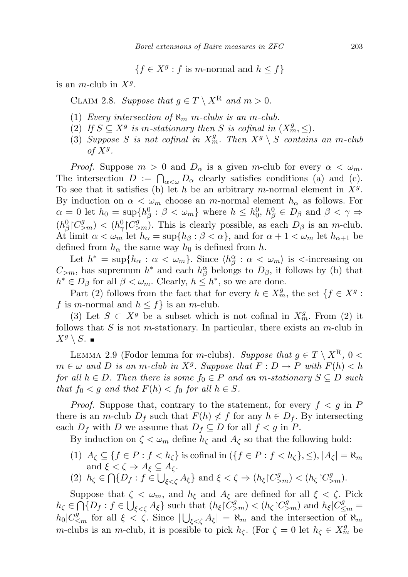$\{f \in X^g : f \text{ is } m\text{-normal and } h \leq f\}$ 

<span id="page-6-0"></span>is an *m*-club in  $X^g$ .

CLAIM 2.8. Suppose that  $g \in T \setminus X^{\mathbb{R}}$  and  $m > 0$ .

- (1) Every intersection of  $\aleph_m$  m-clubs is an m-club.
- (2) If  $S \subseteq X^g$  is m-stationary then S is cofinal in  $(X^g_m, \leq)$ .
- (3) Suppose S is not cofinal in  $X_m^g$ . Then  $X^g \setminus S$  contains an m-club of  $X^g$ .

*Proof.* Suppose  $m > 0$  and  $D_{\alpha}$  is a given m-club for every  $\alpha < \omega_m$ . The intersection  $D := \bigcap_{\alpha<\omega} D_{\alpha}$  clearly satisfies conditions (a) and (c). To see that it satisfies (b) let h be an arbitrary m-normal element in  $X<sup>g</sup>$ . By induction on  $\alpha < \omega_m$  choose an *m*-normal element  $h_\alpha$  as follows. For  $\alpha = 0$  let  $h_0 = \sup\{h_\beta^0 : \beta < \omega_m\}$  where  $h \leq h_0^0$ ,  $h_\beta^0 \in D_\beta$  and  $\beta < \gamma \Rightarrow$  $(h_{\beta}^0 | C_{>m}^g) < (h_{\gamma}^0 | C_{>m}^g)$ . This is clearly possible, as each  $D_{\beta}$  is an m-club. At limit  $\alpha < \omega_m$  let  $h_\alpha = \sup\{h_\beta : \beta < \alpha\}$ , and for  $\alpha + 1 < \omega_m$  let  $h_{\alpha+1}$  be defined from  $h_{\alpha}$  the same way  $h_0$  is defined from h.

Let  $h^* = \sup\{h_\alpha : \alpha < \omega_m\}$ . Since  $\langle h^\alpha_\beta : \alpha < \omega_m\rangle$  is  $\langle$ -increasing on  $C_{>m}$ , has supremum  $h^*$  and each  $h^{\alpha}_{\beta}$  belongs to  $D_{\beta}$ , it follows by (b) that  $h^* \in D_\beta$  for all  $\beta < \omega_m$ . Clearly,  $h \leq h^*$ , so we are done.

Part (2) follows from the fact that for every  $h \in X_m^g$ , the set  $\{f \in X^g$ : f is m-normal and  $h \leq f$  is an m-club.

(3) Let  $S \subset X^g$  be a subset which is not cofinal in  $X_m^g$ . From (2) it follows that S is not m-stationary. In particular, there exists an m-club in  $X^g \setminus S$ .  $\blacksquare$ 

LEMMA 2.9 (Fodor lemma for m-clubs). Suppose that  $g \in T \setminus X^{\mathbb{R}}$ ,  $0 <$  $m \in \omega$  and D is an m-club in  $X^g$ . Suppose that  $F: D \to P$  with  $F(h) < h$ for all  $h \in D$ . Then there is some  $f_0 \in P$  and an m-stationary  $S \subseteq D$  such that  $f_0 < g$  and that  $F(h) < f_0$  for all  $h \in S$ .

*Proof.* Suppose that, contrary to the statement, for every  $f < g$  in P there is an m-club  $D_f$  such that  $F(h) \nless f$  for any  $h \in D_f$ . By intersecting each  $D_f$  with D we assume that  $D_f \subseteq D$  for all  $f < g$  in P.

By induction on  $\zeta < \omega_m$  define  $h_{\zeta}$  and  $A_{\zeta}$  so that the following hold:

- (1)  $A_{\zeta} \subseteq \{f \in P : f < h_{\zeta}\}\$ is cofinal in  $(\{f \in P : f < h_{\zeta}\}\})$ ,  $|A_{\zeta}| = \aleph_m$ and  $\xi < \zeta \Rightarrow A_{\xi} \subseteq A_{\zeta}$ .
- (2)  $h_{\zeta} \in \bigcap \{D_f : f \in \bigcup_{\xi < \zeta} A_{\xi}\}\$ and  $\xi < \zeta \Rightarrow (h_{\xi} \upharpoonright C_{>m}^g) < (h_{\zeta} \upharpoonright C_{>m}^g)$ .

Suppose that  $\zeta < \omega_m$ , and  $h_{\xi}$  and  $A_{\xi}$  are defined for all  $\xi < \zeta$ . Pick  $h_{\zeta} \in \bigcap_{k} \{D_f : f \in \bigcup_{\xi < \zeta} A_{\xi}\}$  such that  $(h_{\xi} \upharpoonright C_{\geq m}^g) < (h_{\zeta} \upharpoonright C_{\geq m}^g)$  and  $h_{\xi} \upharpoonright C_{\leq m}^g =$  $h_0|C_{\leq m}^g$  for all  $\xi < \zeta$ . Since  $|\bigcup_{\xi < \zeta} A_{\xi}| = \aleph_m$  and the intersection of  $\aleph_m$ m-clubs is an m-club, it is possible to pick  $h_{\zeta}$ . (For  $\zeta = 0$  let  $h_{\zeta} \in X_m^g$  be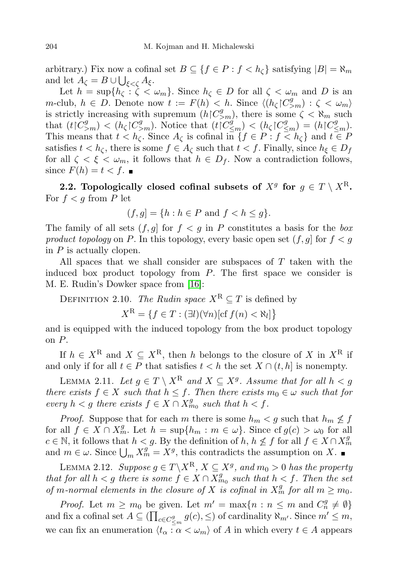arbitrary.) Fix now a cofinal set  $B \subseteq \{f \in P : f < h_{\zeta}\}\$  satisfying  $|B| = \aleph_m$ and let  $A_{\zeta} = B \cup \bigcup_{\xi < \zeta} A_{\xi}$ .

Let  $h = \sup\{h_{\zeta} : \zeta < \omega_m\}$ . Since  $h_{\zeta} \in D$  for all  $\zeta < \omega_m$  and D is an m-club,  $h \in D$ . Denote now  $t := F(h) < h$ . Since  $\langle (h_{\zeta} | C_{>m}^g) : \zeta < \omega_m \rangle$ is strictly increasing with supremum  $(h|C_{>m}^g)$ , there is some  $\zeta < \aleph_m$  such that  $(t|C_{\geq m}^g) < (h_\zeta|C_{\geq m}^g)$ . Notice that  $(t|C_{\leq m}^g) < (h_\zeta|C_{\leq m}^g) = (h|C_{\leq m}^g)$ . This means that  $t < h_{\zeta}$ . Since  $A_{\zeta}$  is cofinal in  $\{f \in P : f \leq h_{\zeta}\}\$  and  $t \in P$ satisfies  $t < h_{\zeta}$ , there is some  $f \in A_{\zeta}$  such that  $t < f$ . Finally, since  $h_{\xi} \in D_f$ for all  $\zeta < \xi < \omega_m$ , it follows that  $h \in D_f$ . Now a contradiction follows, since  $F(h) = t < f$ .

2.2. Topologically closed cofinal subsets of  $X^g$  for  $g \in T \setminus X^{\text{R}}$ . For  $f < g$  from P let

$$
(f,g] = \{h : h \in P \text{ and } f < h \le g\}.
$$

The family of all sets  $(f, g)$  for  $f < g$  in P constitutes a basis for the box product topology on P. In this topology, every basic open set  $(f, g]$  for  $f < g$ in  $P$  is actually clopen.

All spaces that we shall consider are subspaces of  $T$  taken with the induced box product topology from P. The first space we consider is M. E. Rudin's Dowker space from [\[16\]](#page-26-0):

<span id="page-7-0"></span>DEFINITION 2.10. The Rudin space  $X^R \subseteq T$  is defined by

 $X^{\mathcal{R}} = \{f \in T : (\exists l)(\forall n)[\text{cf } f(n) < \aleph_l]\}$ 

and is equipped with the induced topology from the box product topology on P.

If  $h \in X^{\mathbb{R}}$  and  $X \subseteq X^{\mathbb{R}}$ , then h belongs to the closure of X in  $X^{\mathbb{R}}$  if and only if for all  $t \in P$  that satisfies  $t < h$  the set  $X \cap (t, h]$  is nonempty.

<span id="page-7-1"></span>LEMMA 2.11. Let  $g \in T \setminus X^{\mathbf{R}}$  and  $X \subseteq X^g$ . Assume that for all  $h < g$ there exists  $f \in X$  such that  $h \leq f$ . Then there exists  $m_0 \in \omega$  such that for every  $h < g$  there exists  $f \in X \cap X_{m_0}^g$  such that  $h < f$ .

*Proof.* Suppose that for each m there is some  $h_m < g$  such that  $h_m \nleq f$ for all  $f \in X \cap X_m^g$ . Let  $h = \sup\{h_m : m \in \omega\}$ . Since  $\text{cf } g(c) > \omega_0$  for all  $c \in \mathbb{N}$ , it follows that  $h < g$ . By the definition of  $h, h \nleq f$  for all  $f \in X \cap X_m^g$ and  $m \in \omega$ . Since  $\bigcup_m X_m^g = X^g$ , this contradicts the assumption on X.

<span id="page-7-2"></span>LEMMA 2.12. Suppose  $g \in T \backslash X^{\mathbf{R}}, X \subseteq X^g$ , and  $m_0 > 0$  has the property that for all  $h < g$  there is some  $f \in X \cap X_{m_0}^g$  such that  $h < f$ . Then the set of m-normal elements in the closure of X is cofinal in  $X_m^g$  for all  $m \geq m_0$ .

*Proof.* Let  $m \geq m_0$  be given. Let  $m' = \max\{n : n \leq m \text{ and } C_n^g \neq \emptyset\}$ and fix a cofinal set  $A \subseteq \prod_{c \in C_{\leq m}^g} g(c), \leq)$  of cardinality  $\aleph_{m'}$ . Since  $m' \leq m$ , we can fix an enumeration  $\langle t_{\alpha} : \alpha < \omega_m \rangle$  of A in which every  $t \in A$  appears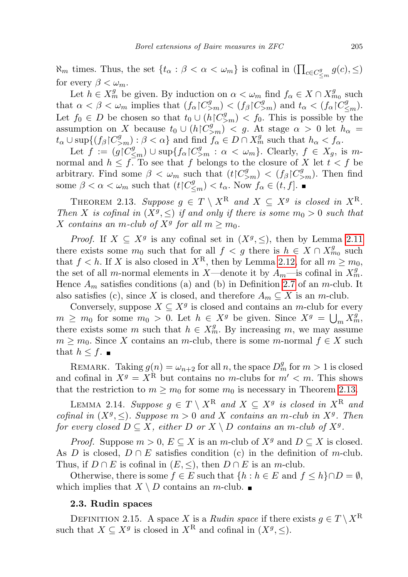$\aleph_m$  times. Thus, the set  $\{t_\alpha : \beta < \alpha < \omega_m\}$  is cofinal in  $\left(\prod_{c \in C_{\leq m}^g} g(c), \leq\right)$ for every  $\beta < \omega_m$ .

Let  $h \in X_m^g$  be given. By induction on  $\alpha < \omega_m$  find  $f_\alpha \in X \cap X_{m_0}^g$  such that  $\alpha < \beta < \omega_m$  implies that  $(f_\alpha \nvert C_{\geq m}^g) < (f_\beta \nvert C_{\geq m}^g)$  and  $t_\alpha < (f_\alpha \nvert C_{\leq m}^g)$ . Let  $f_0 \in D$  be chosen so that  $t_0 \cup (h \restriction C_{>m}^g) < f_0$ . This is possible by the assumption on X because  $t_0 \cup (h \mid C_{\geq m}^g) \mid < g$ . At stage  $\alpha > 0$  let  $h_\alpha =$  $t_{\alpha} \cup \sup\{(f_{\beta} \cap C_{>\n\alpha}^{g}) : \beta < \alpha\}$  and find  $f_{\alpha} \in D \cap X_{m}^{g}$  such that  $h_{\alpha} < f_{\alpha}$ .

Let  $f := (g \nvert C_{\leq m}^g) \cup \sup \{ f_\alpha \nvert C_{\geq m}^g : \alpha < \omega_m \}.$  Clearly,  $f \in X_g$ , is mnormal and  $h \leq f$ . To see that f belongs to the closure of X let  $t < f$  be arbitrary. Find some  $\beta < \omega_m$  such that  $(t|C_{\geq m}^g) < (f_\beta|C_{\geq m}^g)$ . Then find some  $\beta < \alpha < \omega_m$  such that  $(t \mid C_{\leq m}^g) < t_\alpha$ . Now  $f_\alpha \in (t, f]$ .

<span id="page-8-0"></span>THEOREM 2.13. Suppose  $g \in T \setminus X^{\mathcal{R}}$  and  $X \subseteq X^g$  is closed in  $X^{\mathcal{R}}$ . Then X is cofinal in  $(X^g, \leq)$  if and only if there is some  $m_0 > 0$  such that X contains an m-club of  $X^g$  for all  $m \geq m_0$ .

*Proof.* If  $X \subseteq X^g$  is any cofinal set in  $(X^g, \leq)$ , then by Lemma [2.11](#page-7-1) there exists some  $m_0$  such that for all  $f < g$  there is  $h \in X \cap X_{m_0}^g$  such that  $f < h$ . If X is also closed in  $X<sup>R</sup>$ , then by Lemma [2.12,](#page-7-2) for all  $m \geq m_0$ , the set of all m-normal elements in X—denote it by  $A_m$ —is cofinal in  $X_m^g$ . Hence  $A_m$  satisfies conditions (a) and (b) in Definition [2.7](#page-5-0) of an m-club. It also satisfies (c), since X is closed, and therefore  $A_m \subseteq X$  is an m-club.

Conversely, suppose  $X \subseteq X^g$  is closed and contains an m-club for every  $m \geq m_0$  for some  $m_0 > 0$ . Let  $h \in X^g$  be given. Since  $X^g = \bigcup_m X^g_m$ , there exists some m such that  $h \in X_m^g$ . By increasing m, we may assume  $m \geq m_0$ . Since X contains an m-club, there is some m-normal  $f \in X$  such that  $h \leq f$ .

REMARK. Taking  $g(n) = \omega_{n+2}$  for all n, the space  $D_m^g$  for  $m > 1$  is closed and cofinal in  $X^g = X^{\hat{R}}$  but contains no m-clubs for  $m' < m$ . This shows that the restriction to  $m \geq m_0$  for some  $m_0$  is necessary in Theorem [2.13.](#page-8-0)

<span id="page-8-1"></span>LEMMA 2.14. Suppose  $g \in T \setminus X^{\mathbf{R}}$  and  $X \subseteq X^g$  is closed in  $X^{\mathbf{R}}$  and cofinal in  $(X^g, \leq)$ . Suppose  $m > 0$  and X contains an m-club in  $X^g$ . Then for every closed  $D \subseteq X$ , either D or  $X \setminus D$  contains an m-club of  $X^g$ .

*Proof.* Suppose  $m > 0$ ,  $E \subseteq X$  is an m-club of  $X<sup>g</sup>$  and  $D \subseteq X$  is closed. As D is closed,  $D \cap E$  satisfies condition (c) in the definition of m-club. Thus, if  $D \cap E$  is cofinal in  $(E, \leq)$ , then  $D \cap E$  is an m-club.

Otherwise, there is some  $f \in E$  such that  $\{h : h \in E \text{ and } f \le h\} \cap D = \emptyset$ , which implies that  $X \setminus D$  contains an m-club.

## 2.3. Rudin spaces

DEFINITION 2.15. A space X is a Rudin space if there exists  $g \in T \setminus X^{\mathbb{R}}$ such that  $X \subseteq X^g$  is closed in  $X^R$  and cofinal in  $(X^g, \leq)$ .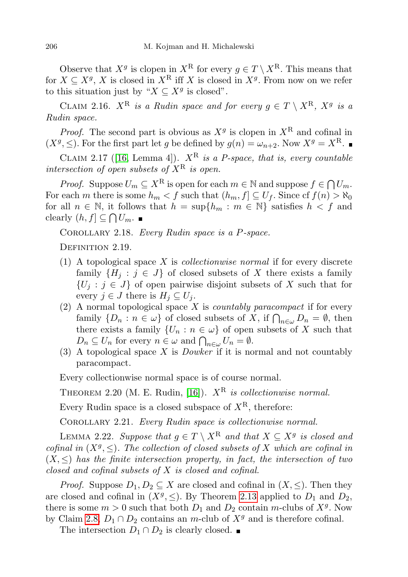Observe that  $X^g$  is clopen in  $X^R$  for every  $g \in T \setminus X^R$ . This means that for  $X \subseteq X^g$ , X is closed in  $X^R$  iff X is closed in  $X^g$ . From now on we refer to this situation just by " $X \subseteq X^g$  is closed".

CLAIM 2.16.  $X^{\text{R}}$  is a Rudin space and for every  $g \in T \setminus X^{\text{R}}$ ,  $X^g$  is a Rudin space.

*Proof.* The second part is obvious as  $X<sup>g</sup>$  is clopen in  $X<sup>R</sup>$  and cofinal in  $(X^g, \leq)$ . For the first part let g be defined by  $g(n) = \omega_{n+2}$ . Now  $X^g = X^R$ .

<span id="page-9-1"></span>CLAIM 2.17 ([\[16,](#page-26-0) Lemma 4]).  $X^R$  is a P-space, that is, every countable intersection of open subsets of  $X^R$  is open.

*Proof.* Suppose  $U_m \subseteq X^R$  is open for each  $m \in \mathbb{N}$  and suppose  $f \in \bigcap U_m$ . For each m there is some  $h_m < f$  such that  $(h_m, f] \subseteq U_f$ . Since  $cf(n) > \aleph_0$ for all  $n \in \mathbb{N}$ , it follows that  $h = \sup\{h_m : m \in \mathbb{N}\}\)$  satisfies  $h < f$  and clearly  $(h, f] \subseteq \bigcap U_m$ .

COROLLARY 2.18. Every Rudin space is a P-space.

DEFINITION 2.19.

- (1) A topological space  $X$  is *collectionwise normal* if for every discrete family  $\{H_j : j \in J\}$  of closed subsets of X there exists a family  $\{U_i : j \in J\}$  of open pairwise disjoint subsets of X such that for every  $j \in J$  there is  $H_j \subseteq U_j$ .
- (2) A normal topological space  $X$  is *countably paracompact* if for every family  $\{D_n : n \in \omega\}$  of closed subsets of X, if  $\bigcap_{n \in \omega} D_n = \emptyset$ , then there exists a family  $\{U_n : n \in \omega\}$  of open subsets of X such that  $D_n \subseteq U_n$  for every  $n \in \omega$  and  $\bigcap_{n \in \omega} U_n = \emptyset$ .
- (3) A topological space X is *Dowker* if it is normal and not countably paracompact.

Every collectionwise normal space is of course normal.

THEOREM 2.20 (M. E. Rudin, [\[16\]](#page-26-0)).  $X^R$  is collectionwise normal.

Every Rudin space is a closed subspace of  $X^R$ , therefore:

<span id="page-9-0"></span>COROLLARY 2.21. Every Rudin space is collectionwise normal.

LEMMA 2.22. Suppose that  $g \in T \setminus X^{\mathbf{R}}$  and that  $X \subseteq X^g$  is closed and cofinal in  $(X^g, \leq)$ . The collection of closed subsets of X which are cofinal in  $(X, \leq)$  has the finite intersection property, in fact, the intersection of two closed and cofinal subsets of X is closed and cofinal.

*Proof.* Suppose  $D_1, D_2 \subseteq X$  are closed and cofinal in  $(X, \le)$ . Then they are closed and cofinal in  $(X<sup>g</sup>, \leq)$ . By Theorem [2.13](#page-8-0) applied to  $D_1$  and  $D_2$ , there is some  $m > 0$  such that both  $D_1$  and  $D_2$  contain m-clubs of  $X<sup>g</sup>$ . Now by Claim [2.8,](#page-6-0)  $D_1 \cap D_2$  contains an m-club of  $X<sup>g</sup>$  and is therefore cofinal.

The intersection  $D_1 \cap D_2$  is clearly closed. ■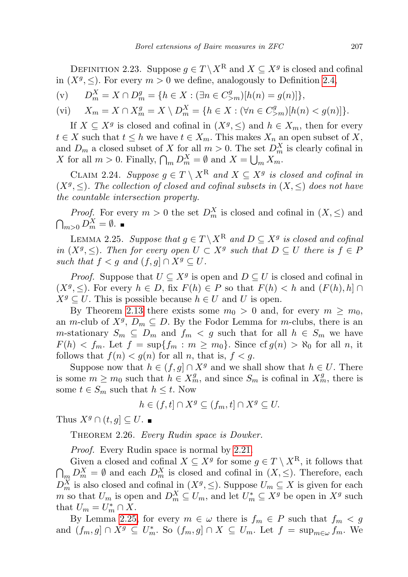<span id="page-10-1"></span>DEFINITION 2.23. Suppose  $g \in T \backslash X^{\mathbf{R}}$  and  $X \subseteq X^g$  is closed and cofinal in  $(X^g, \leq)$ . For every  $m > 0$  we define, analogously to Definition [2.4,](#page-4-1)

(v)  $D_m^X = X \cap D_m^g = \{h \in X : (\exists n \in C_{>m}^g)[h(n) = g(n)]\},\$ 

$$
(vi) \tX_m = X \cap X_m^g = X \setminus D_m^X = \{ h \in X : (\forall n \in C_{>m}^g) [h(n) < g(n)] \}.
$$

If  $X \subseteq X^g$  is closed and cofinal in  $(X^g, \leq)$  and  $h \in X_m$ , then for every  $t \in X$  such that  $t \leq h$  we have  $t \in X_m$ . This makes  $X_n$  an open subset of X, and  $D_m$  a closed subset of X for all  $m > 0$ . The set  $D_m^X$  is clearly cofinal in X for all  $m > 0$ . Finally,  $\bigcap_m D_m^X = \emptyset$  and  $X = \bigcup_m X_m$ .

CLAIM 2.24. Suppose  $g \in T \setminus X^{\mathbf{R}}$  and  $X \subseteq X^g$  is closed and cofinal in  $(X^g, \leq)$ . The collection of closed and cofinal subsets in  $(X, \leq)$  does not have the countable intersection property.

*Proof.* For every  $m > 0$  the set  $D_m^X$  is closed and cofinal in  $(X, \le)$  and  $\bigcap_{m>0} D_m^X = \emptyset.$ 

<span id="page-10-0"></span>LEMMA 2.25. Suppose that  $g \in T \backslash X^{\mathbf{R}}$  and  $D \subseteq X^g$  is closed and cofinal in  $(X^g, \leq)$ . Then for every open  $U \subset X^g$  such that  $D \subseteq U$  there is  $f \in F$ such that  $f < g$  and  $(f, g] \cap X^g \subseteq U$ .

*Proof.* Suppose that  $U \subseteq X^g$  is open and  $D \subseteq U$  is closed and cofinal in  $(X^g, \leq)$ . For every  $h \in D$ , fix  $F(h) \in P$  so that  $F(h) < h$  and  $(F(h), h] \cap$  $X^g \subseteq U$ . This is possible because  $h \in U$  and U is open.

By Theorem [2.13](#page-8-0) there exists some  $m_0 > 0$  and, for every  $m \ge m_0$ , an m-club of  $X^g$ ,  $D_m \subseteq D$ . By the Fodor Lemma for m-clubs, there is an m-stationary  $S_m \subseteq D_m$  and  $f_m < g$  such that for all  $h \in S_m$  we have  $F(h) < f_m$ . Let  $f = \sup\{f_m : m \ge m_0\}$ . Since  $\text{cf } g(n) > \aleph_0$  for all n, it follows that  $f(n) < g(n)$  for all n, that is,  $f < g$ .

Suppose now that  $h \in (f, g] \cap X^g$  and we shall show that  $h \in U$ . There is some  $m \geq m_0$  such that  $h \in X_m^g$ , and since  $S_m$  is cofinal in  $X_m^g$ , there is some  $t \in S_m$  such that  $h \leq t$ . Now

$$
h \in (f, t] \cap X^g \subseteq (f_m, t] \cap X^g \subseteq U.
$$

Thus  $X^g \cap (t, g] \subseteq U$ .

THEOREM 2.26. Every Rudin space is Dowker.

*Proof.* Every Rudin space is normal by [2.21.](#page-9-0)

Given a closed and cofinal  $X \subseteq X^g$  for some  $g \in T \setminus X^R$ , it follows that  $\bigcap_{m} D_m^X = \emptyset$  and each  $D_m^X$  is closed and cofinal in  $(X, \le)$ . Therefore, each  $D_m^X$  is also closed and cofinal in  $(X^g, \leq)$ . Suppose  $U_m \subseteq X$  is given for each m so that  $U_m$  is open and  $D_m^X \subseteq U_m$ , and let  $U_m^* \subseteq X^g$  be open in  $X^g$  such that  $U_m = U_m^* \cap X$ .

By Lemma [2.25,](#page-10-0) for every  $m \in \omega$  there is  $f_m \in P$  such that  $f_m < g$ and  $(f_m, g] \cap X^g \subseteq U_m^*$ . So  $(f_m, g] \cap X \subseteq U_m$ . Let  $f = \sup_{m \in \omega} f_m$ . We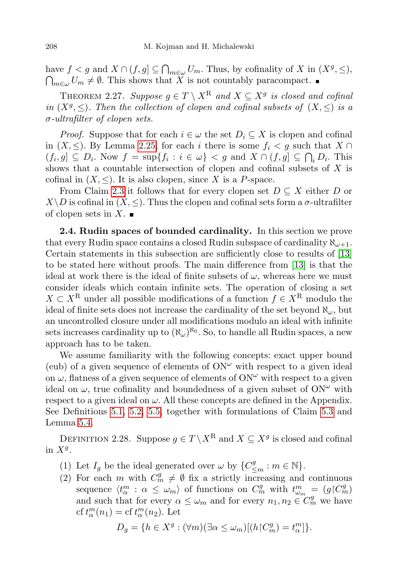have  $f < g$  and  $X \cap (f, g] \subseteq \bigcap_{m \in \omega} U_m$ . Thus, by cofinality of X in  $(X^g, \leq),$  $\bigcap_{m\in\omega}U_m\neq\emptyset$ . This shows that X is not countably paracompact.

<span id="page-11-2"></span>THEOREM 2.27. Suppose  $g \in T \setminus X^R$  and  $X \subseteq X^g$  is closed and cofinal in  $(X^g, \leq)$ . Then the collection of clopen and cofinal subsets of  $(X, \leq)$  is a σ-ultrafilter of clopen sets.

*Proof.* Suppose that for each  $i \in \omega$  the set  $D_i \subseteq X$  is clopen and cofinal in  $(X, \leq)$ . By Lemma [2.25,](#page-10-0) for each i there is some  $f_i < g$  such that  $X \cap$  $(f_i, g] \subseteq D_i$ . Now  $f = \sup\{f_i : i \in \omega\} < g$  and  $X \cap (f, g] \subseteq \bigcap_i D_i$ . This shows that a countable intersection of clopen and cofinal subsets of X is cofinal in  $(X, \leq)$ . It is also clopen, since X is a P-space.

From Claim [2.3](#page-4-2) it follows that for every clopen set  $D \subseteq X$  either D or  $X\backslash D$  is cofinal in  $(X, \leq)$ . Thus the clopen and cofinal sets form a  $\sigma$ -ultrafilter of clopen sets in  $X$ .

<span id="page-11-0"></span>2.4. Rudin spaces of bounded cardinality. In this section we prove that every Rudin space contains a closed Rudin subspace of cardinality  $\aleph_{\omega+1}$ . Certain statements in this subsection are sufficiently close to results of [\[13\]](#page-26-1) to be stated here without proofs. The main difference from [\[13\]](#page-26-1) is that the ideal at work there is the ideal of finite subsets of  $\omega$ , whereas here we must consider ideals which contain infinite sets. The operation of closing a set  $X \subset X^{\mathbb{R}}$  under all possible modifications of a function  $f \in X^{\mathbb{R}}$  modulo the ideal of finite sets does not increase the cardinality of the set beyond  $\aleph_{\omega}$ , but an uncontrolled closure under all modifications modulo an ideal with infinite sets increases cardinality up to  $(\aleph_{\omega})^{\aleph_0}$ . So, to handle all Rudin spaces, a new approach has to be taken.

We assume familiarity with the following concepts: exact upper bound (eub) of a given sequence of elements of  $ON^{\omega}$  with respect to a given ideal on  $\omega$ , flatness of a given sequence of elements of ON<sup> $\omega$ </sup> with respect to a given ideal on  $\omega$ , true cofinality and boundedness of a given subset of ON<sup> $\omega$ </sup> with respect to a given ideal on  $\omega$ . All these concepts are defined in the Appendix. See Definitions [5.1,](#page-23-1) [5.2,](#page-24-0) [5.5,](#page-24-1) together with formulations of Claim [5.3](#page-24-2) and Lemma [5.4.](#page-24-3)

<span id="page-11-1"></span>DEFINITION 2.28. Suppose  $g \in T \backslash X^{\mathbf{R}}$  and  $X \subseteq X^g$  is closed and cofinal in  $X^g$ .

- (1) Let  $I_g$  be the ideal generated over  $\omega$  by  $\{C^g_{\leq m} : m \in \mathbb{N}\}.$
- (2) For each m with  $C_m^g \neq \emptyset$  fix a strictly increasing and continuous sequence  $\langle t_{\alpha}^m : \alpha \leq \omega_m \rangle$  of functions on  $C_m^g$  with  $t_{\omega_m}^m = (g \nvert C_m^g)$ and such that for every  $\alpha \leq \omega_m$  and for every  $n_1, n_2 \in C_m^g$  we have cf  $t_{\alpha}^{m}(n_1) =$  cf  $t_{\alpha}^{m}(n_2)$ . Let

$$
D_g = \{ h \in X^g : (\forall m)(\exists \alpha \le \omega_m)[(h \upharpoonright C_m^g) = t_\alpha^m] \}.
$$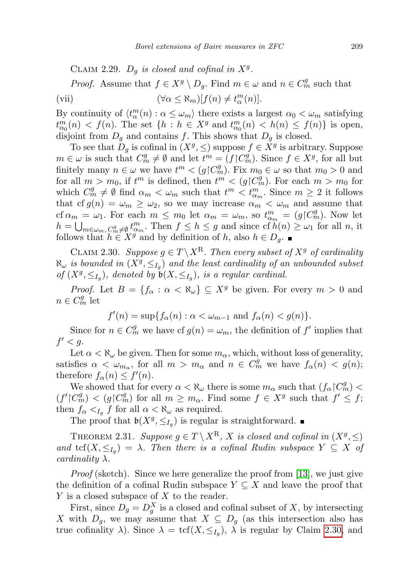CLAIM 2.29.  $D_g$  is closed and cofinal in  $X^g$ .

*Proof.* Assume that  $f \in X^g \setminus D_g$ . Find  $m \in \omega$  and  $n \in C_m^g$  such that (vii)  $(\forall \alpha \leq \aleph_m)[f(n) \neq t_\alpha^m(n)].$ 

By continuity of  $\langle t_{\alpha}^{m}(n) : \alpha \leq \omega_{m} \rangle$  there exists a largest  $\alpha_{0} < \omega_{m}$  satisfying  $t_{\alpha_0}^m(n) < f(n)$ . The set  $\{h : h \in X^g \text{ and } t_{\alpha_0}^m(n) < h(n) \le f(n)\}\$ is open, disjoint from  $D_q$  and contains f. This shows that  $D_q$  is closed.

To see that  $D_g$  is cofinal in  $(X^g, \leq)$  suppose  $f \in X^g$  is arbitrary. Suppose  $m \in \omega$  is such that  $C_m^g \neq \emptyset$  and let  $t^m = (f \nvert C_m^g)$ . Since  $f \in X^g$ , for all but finitely many  $n \in \omega$  we have  $t^m < (g \nvert C_m^g)$ . Fix  $m_0 \in \omega$  so that  $m_0 > 0$  and for all  $m > m_0$ , if  $t^m$  is defined, then  $t^m < (g \restriction C_m^g)$ . For each  $m > m_0$  for which  $C_m^g \neq \emptyset$  find  $\alpha_m < \omega_m$  such that  $t^m < t_{\alpha_m}^m$ . Since  $m \geq 2$  it follows that cf  $g(n) = \omega_m \geq \omega_2$ , so we may increase  $\alpha_m < \omega_m$  and assume that cf  $\alpha_m = \omega_1$ . For each  $m \leq m_0$  let  $\alpha_m = \omega_m$ , so  $t_{\alpha_m}^m = (g \mid C_m^g)$ . Now let  $h = \bigcup_{m \in \omega_m, C_m^g \neq \emptyset} t_{\alpha_m}^m$ . Then  $f \leq h \leq g$  and since of  $h(n) \geq \omega_1$  for all n, it follows that  $h \in X^g$  and by definition of h, also  $h \in D_g$ .

<span id="page-12-0"></span>CLAIM 2.30. Suppose  $g \in T \backslash X^R$ . Then every subset of  $X^g$  of cardinality  $\aleph_\omega$  is bounded in  $(X^g, \leq_{I_g})$  and the least cardinality of an unbounded subset of  $(X^g, \leq_{I_g})$ , denoted by  $\mathfrak{b}(X, \leq_{I_g})$ , is a regular cardinal.

*Proof.* Let  $B = \{f_{\alpha} : \alpha < \aleph_{\omega}\} \subseteq X^g$  be given. For every  $m > 0$  and  $n \in C_m^g$  let

$$
f'(n) = \sup\{f_{\alpha}(n) : \alpha < \omega_{m-1} \text{ and } f_{\alpha}(n) < g(n)\}.
$$

Since for  $n \in C_m^g$  we have cf  $g(n) = \omega_m$ , the definition of f' implies that  $f' < g$ .

Let  $\alpha < \aleph_\omega$  be given. Then for some  $m_\alpha$ , which, without loss of generality, satisfies  $\alpha < \omega_{m_\alpha}$ , for all  $m > m_\alpha$  and  $n \in C_m^g$  we have  $f_\alpha(n) < g(n)$ ; therefore  $f_{\alpha}(n) \leq f'(n)$ .

We showed that for every  $\alpha < \aleph_\omega$  there is some  $m_\alpha$  such that  $(f_\alpha \upharpoonright C_m^g)$  $(f' \nvert C_m^g) < (g \nvert C_m^g)$  for all  $m \geq m_\alpha$ . Find some  $f \in X^g$  such that  $f' \leq f$ ; then  $f_{\alpha} <_{I_g} f$  for all  $\alpha < \aleph_{\omega}$  as required.

The proof that  $\mathfrak{b}(X^g, \leq_{I_g})$  is regular is straightforward.

<span id="page-12-1"></span>THEOREM 2.31. Suppose  $g \in T \setminus X^R$ , X is closed and cofinal in  $(X^g, \leq)$ and  $\text{tcf}(X,\leq_{I_g}) = \lambda$ . Then there is a cofinal Rudin subspace  $Y \subseteq X$  of cardinality  $\lambda$ .

*Proof* (sketch). Since we here generalize the proof from [\[13\]](#page-26-1), we just give the definition of a cofinal Rudin subspace  $Y \subseteq X$  and leave the proof that Y is a closed subspace of X to the reader.

First, since  $D_g = D_g^X$  is a closed and cofinal subset of X, by intersecting X with  $D_g$ , we may assume that  $X \subseteq D_g$  (as this intersection also has true cofinality  $\lambda$ ). Since  $\lambda = \text{tcf}(X, \leq_{I_g})$ ,  $\lambda$  is regular by Claim [2.30,](#page-12-0) and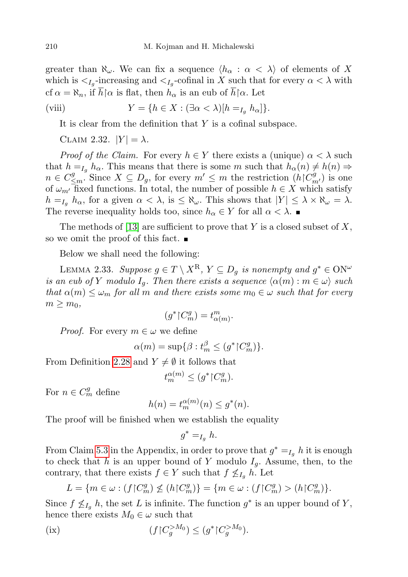greater than  $\aleph_{\omega}$ . We can fix a sequence  $\langle h_{\alpha} : \alpha < \lambda \rangle$  of elements of X which is  $\lt_{I_g}$ -increasing and  $\lt_{I_g}$ -cofinal in X such that for every  $\alpha < \lambda$  with cf  $\alpha = \aleph_n$ , if  $\overline{h} \upharpoonright \alpha$  is flat, then  $h_\alpha$  is an eub of  $\overline{h} \upharpoonright \alpha$ . Let

(viii) 
$$
Y = \{ h \in X : (\exists \alpha < \lambda) [h =_{I_g} h_\alpha] \}.
$$

It is clear from the definition that Y is a cofinal subspace.

CLAIM 2.32.  $|Y| = \lambda$ .

*Proof of the Claim.* For every  $h \in Y$  there exists a (unique)  $\alpha < \lambda$  such that  $h = I_q h_\alpha$ . This means that there is some m such that  $h_\alpha(n) \neq h(n) \Rightarrow$  $n \in C^g_{\leq m}$ . Since  $X \subseteq D_g$ , for every  $m' \leq m$  the restriction  $(h \nvert C^g_{m'})$  is one of  $\omega_{m'}$  fixed functions. In total, the number of possible  $h \in X$  which satisfy  $h =_{I_q} h_\alpha$ , for a given  $\alpha < \lambda$ , is  $\leq \aleph_\omega$ . This shows that  $|Y| \leq \lambda \times \aleph_\omega = \lambda$ . The reverse inequality holds too, since  $h_{\alpha} \in Y$  for all  $\alpha < \lambda$ .

The methods of [\[13\]](#page-26-1) are sufficient to prove that Y is a closed subset of X, so we omit the proof of this fact.  $\blacksquare$ 

Below we shall need the following:

<span id="page-13-1"></span>LEMMA 2.33. Suppose  $g \in T \setminus X^{\mathbf{R}}, Y \subseteq D_g$  is nonempty and  $g^* \in \mathrm{ON}^\omega$ is an eub of Y modulo  $I_q$ . Then there exists a sequence  $\langle \alpha(m) : m \in \omega \rangle$  such that  $\alpha(m) \leq \omega_m$  for all m and there exists some  $m_0 \in \omega$  such that for every  $m \geq m_0$ ,

$$
(g^* \restriction C_m^g) = t^m_{\alpha(m)}.
$$

*Proof.* For every  $m \in \omega$  we define

$$
\alpha(m) = \sup \{ \beta : t_m^{\beta} \le (g^* \restriction C_m^g) \}.
$$

From Definition [2.28](#page-11-1) and  $Y \neq \emptyset$  it follows that

$$
t_m^{\alpha(m)} \le (g^* \restriction C_m^g).
$$

For  $n \in C_m^g$  define

$$
h(n) = t_m^{\alpha(m)}(n) \le g^*(n).
$$

The proof will be finished when we establish the equality

$$
g^* =_{I_g} h.
$$

From Claim [5.3](#page-24-2) in the Appendix, in order to prove that  $g^* =_{I_g} h$  it is enough to check that h is an upper bound of Y modulo  $I_q$ . Assume, then, to the contrary, that there exists  $f \in Y$  such that  $f \nleq_{I_q} h$ . Let

<span id="page-13-0"></span>
$$
L = \{ m \in \omega : (f \upharpoonright C_m^g) \not\le (h \upharpoonright C_m^g) \} = \{ m \in \omega : (f \upharpoonright C_m^g) > (h \upharpoonright C_m^g) \}.
$$

Since  $f \nleq I_g h$ , the set L is infinite. The function  $g^*$  is an upper bound of Y, hence there exists  $M_0 \in \omega$  such that

(ix) 
$$
(f|C_g^{>M_0}) \le (g^*|C_g^{>M_0}).
$$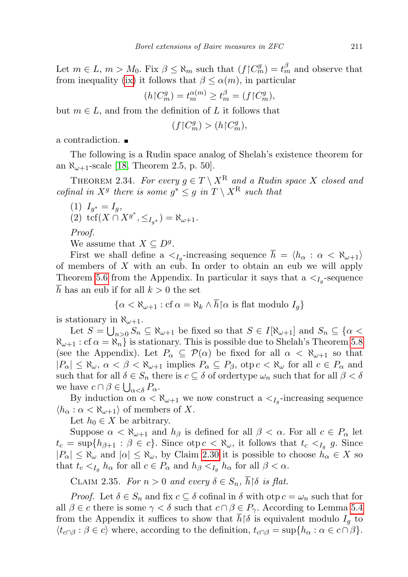Let  $m \in L$ ,  $m > M_0$ . Fix  $\beta \leq \aleph_m$  such that  $(f \nvert C_m^g) = t_m^{\beta}$  and observe that from inequality [\(ix\)](#page-13-0) it follows that  $\beta \leq \alpha(m)$ , in particular

$$
(h \restriction C_m^g) = t_m^{\alpha(m)} \ge t_m^{\beta} = (f \restriction C_m^g),
$$

but  $m \in L$ , and from the definition of L it follows that

$$
(f{\restriction} C_m^g)>(h{\restriction} C_m^g),
$$

a contradiction.

The following is a Rudin space analog of Shelah's existence theorem for an  $\aleph_{\omega+1}$ -scale [\[18,](#page-26-9) Theorem 2.5, p. 50].

<span id="page-14-0"></span>THEOREM 2.34. For every  $g \in T \setminus X^R$  and a Rudin space X closed and cofinal in  $X^g$  there is some  $g^* \leq g$  in  $T \setminus X^{\mathbb{R}}$  such that

(1) 
$$
I_{g^*} = I_g
$$
,  
(2)  $\text{tcf}(X \cap X^{g^*}, \leq_{I_{g^*}}) = \aleph_{\omega+1}$ .

Proof.

We assume that  $X \subseteq D<sup>g</sup>$ .

First we shall define a  $\langle I_g$ -increasing sequence  $h = \langle h_\alpha : \alpha < \aleph_{\omega+1} \rangle$ of members of X with an eub. In order to obtain an eub we will apply Theorem [5.6](#page-25-5) from the Appendix. In particular it says that a  $\lt_{I_g}$ -sequence  $\overline{h}$  has an eub if for all  $k > 0$  the set

$$
\{\alpha < \aleph_{\omega+1} : \text{cf } \alpha = \aleph_k \land \overline{h} \, \text{for is flat modulo } I_g\}
$$

is stationary in  $\aleph_{\omega+1}$ .

Let  $S = \bigcup_{n>0} S_n \subseteq \aleph_{\omega+1}$  be fixed so that  $S \in I[\aleph_{\omega+1}]$  and  $S_n \subseteq {\alpha < \preceq}$  $\aleph_{\omega+1}$ : cf  $\alpha = \aleph_n$  is stationary. This is possible due to Shelah's Theorem [5.8](#page-25-6) (see the Appendix). Let  $P_{\alpha} \subseteq \mathcal{P}(\alpha)$  be fixed for all  $\alpha < \aleph_{\omega+1}$  so that  $|P_{\alpha}| \leq \aleph_{\omega}, \ \alpha < \beta < \aleph_{\omega+1}$  implies  $P_{\alpha} \subseteq P_{\beta}$ , otp  $c < \aleph_{\omega}$  for all  $c \in P_{\alpha}$  and such that for all  $\delta \in S_n$  there is  $c \subseteq \delta$  of ordertype  $\omega_n$  such that for all  $\beta < \delta$ we have  $c \cap \beta \in \bigcup_{\alpha < \delta} P_{\alpha}$ .

By induction on  $\alpha < \aleph_{\omega+1}$  we now construct a  $\lt_{I_g}$ -increasing sequence  $\langle h_{\alpha} : \alpha < \aleph_{\omega+1} \rangle$  of members of X.

Let  $h_0 \in X$  be arbitrary.

Suppose  $\alpha < \aleph_{\omega+1}$  and  $h_\beta$  is defined for all  $\beta < \alpha$ . For all  $c \in P_\alpha$  let  $t_c = \sup\{h_{\beta+1} : \beta \in c\}$ . Since  $\text{otp } c < \aleph_\omega$ , it follows that  $t_c \ltq_{I_g} g$ . Since  $|P_{\alpha}| \leq \aleph_{\omega}$  and  $|\alpha| \leq \aleph_{\omega}$ , by Claim [2.30](#page-12-0) it is possible to choose  $h_{\alpha} \in X$  so that  $t_c <_{I_q} h_\alpha$  for all  $c \in P_\alpha$  and  $h_\beta <_{I_q} h_\alpha$  for all  $\beta < \alpha$ .

CLAIM 2.35. For  $n > 0$  and every  $\delta \in S_n$ ,  $\overline{h}$  |  $\delta$  is flat.

*Proof.* Let  $\delta \in S_n$  and fix  $c \subseteq \delta$  cofinal in  $\delta$  with otp  $c = \omega_n$  such that for all  $\beta \in c$  there is some  $\gamma < \delta$  such that  $c \cap \beta \in P_{\gamma}$ . According to Lemma [5.4](#page-24-3) from the Appendix it suffices to show that  $\bar{h}$  is equivalent modulo  $I_q$  to  $\langle t_{c\cap\beta} : \beta \in c \rangle$  where, according to the definition,  $t_{c\cap\beta} = \sup\{h_\alpha : \alpha \in c\cap\beta\}.$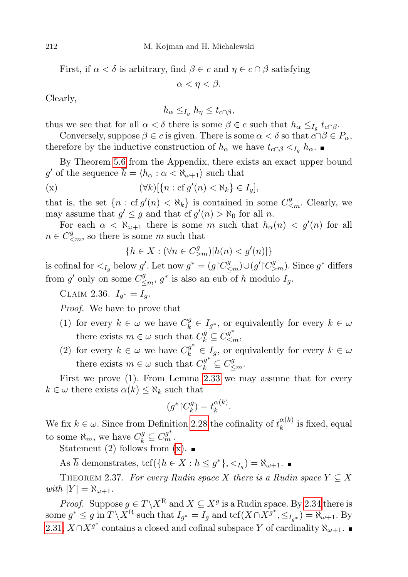First, if  $\alpha < \delta$  is arbitrary, find  $\beta \in c$  and  $\eta \in c \cap \beta$  satisfying

 $\alpha < \eta < \beta$ .

Clearly,

 $h_{\alpha} \leq I_a h_{\eta} \leq t_{c \cap \beta}$ ,

thus we see that for all  $\alpha < \delta$  there is some  $\beta \in c$  such that  $h_{\alpha} \leq_{I_g} t_{c \cap \beta}$ .

Conversely, suppose  $\beta \in c$  is given. There is some  $\alpha < \delta$  so that  $c \cap \beta \in P_{\alpha}$ , therefore by the inductive construction of  $h_{\alpha}$  we have  $t_{c\cap\beta} <_{I_q} h_{\alpha}$ .

By Theorem [5.6](#page-25-5) from the Appendix, there exists an exact upper bound g' of the sequence  $\bar{h} = \langle h_{\alpha} : \alpha < \aleph_{\omega+1} \rangle$  such that

$$
(\mathbf{x}) \qquad \qquad (\forall k)[\{n : \mathrm{cf}\, g'(n) < \aleph_k\} \in I_g],
$$

that is, the set  $\{n : cf g'(n) < \aleph_k\}$  is contained in some  $C^g_{\leq m}$ . Clearly, we may assume that  $g' \leq g$  and that cf  $g'(n) > \aleph_0$  for all n.

For each  $\alpha < \aleph_{\omega+1}$  there is some m such that  $h_{\alpha}(n) < g'(n)$  for all  $n \in C_{\leq m}^g$ , so there is some m such that

<span id="page-15-0"></span>
$$
\{h\in X: (\forall n\in C^g_{>m})[h(n)
$$

is cofinal for  $\langle I_g \rangle$  below g'. Let now  $g^* = (g \upharpoonright C^g_{\leq m}) \cup (g' \upharpoonright C^g_{>m})$ . Since  $g^*$  differs from  $g'$  only on some  $C^g_{\leq m}$ ,  $g^*$  is also an eub of  $\overline{h}$  modulo  $I_g$ .

CLAIM 2.36.  $I_{g^*} = I_g$ .

Proof. We have to prove that

- (1) for every  $k \in \omega$  we have  $C_k^g \in I_{g^*}$ , or equivalently for every  $k \in \omega$ there exists  $m \in \omega$  such that  $C_k^g \subseteq C_{\leq m}^{g^*}$ ,
- (2) for every  $k \in \omega$  we have  $C_k^{g^*} \in I_g$ , or equivalently for every  $k \in \omega$ there exists  $m \in \omega$  such that  $C_k^{g^*} \subseteq C_{\leq m}^g$ .

First we prove (1). From Lemma [2.33](#page-13-1) we may assume that for every  $k \in \omega$  there exists  $\alpha(k) \leq \aleph_k$  such that

$$
(g^* \restriction C_k^g) = t_k^{\alpha(k)}.
$$

We fix  $k \in \omega$ . Since from Definition [2.28](#page-11-1) the cofinality of  $t_k^{\alpha(k)}$  $\frac{\alpha(\kappa)}{k}$  is fixed, equal to some  $\aleph_m$ , we have  $C_k^g \subseteq C_m^{g^*}$ .

Statement (2) follows from  $(x)$ .

As  $\overline{h}$  demonstrates, tcf({ $h \in X : h \leq g^*$ },  $\langle I_g \rangle = \aleph_{\omega+1}$ .

<span id="page-15-1"></span>THEOREM 2.37. For every Rudin space X there is a Rudin space  $Y \subseteq X$ with  $|Y| = \aleph_{\omega+1}$ .

*Proof.* Suppose  $g \in T \backslash X^{\mathbf{R}}$  and  $X \subseteq X^g$  is a Rudin space. By [2.34](#page-14-0) there is some  $g^* \leq g$  in  $T \setminus X^{\mathbf{R}}$  such that  $I_{g^*} = I_g$  and  $\text{tcf}(X \cap X^{g^*}, \leq_{I_{g^*}}) = \aleph_{\omega+1}$ . By [2.31,](#page-12-1)  $X \cap X^{g^*}$  contains a closed and cofinal subspace Y of cardinality  $\aleph_{\omega+1}$ .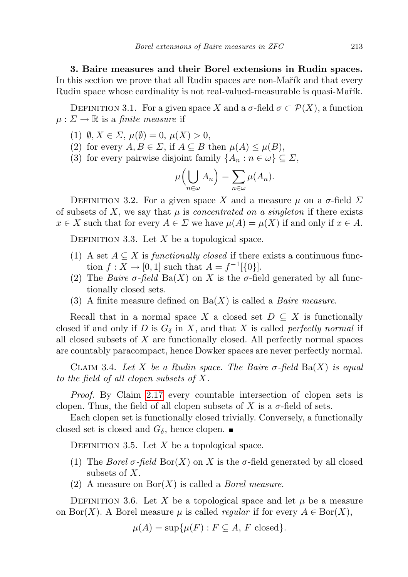<span id="page-16-0"></span>3. Baire measures and their Borel extensions in Rudin spaces. In this section we prove that all Rudin spaces are non-Mart and that every Rudin space whose cardinality is not real-valued-measurable is quasi-Mařík.

DEFINITION 3.1. For a given space X and a  $\sigma$ -field  $\sigma \subset \mathcal{P}(X)$ , a function  $\mu : \Sigma \to \mathbb{R}$  is a *finite measure* if

- (1)  $\emptyset, X \in \Sigma, \mu(\emptyset) = 0, \mu(X) > 0,$
- (2) for every  $A, B \in \Sigma$ , if  $A \subseteq B$  then  $\mu(A) \leq \mu(B)$ ,
- (3) for every pairwise disjoint family  $\{A_n : n \in \omega\} \subseteq \Sigma$ ,

$$
\mu\Big(\bigcup_{n\in\omega}A_n\Big)=\sum_{n\in\omega}\mu(A_n).
$$

DEFINITION 3.2. For a given space X and a measure  $\mu$  on a  $\sigma$ -field  $\Sigma$ of subsets of X, we say that  $\mu$  is *concentrated on a singleton* if there exists  $x \in X$  such that for every  $A \in \Sigma$  we have  $\mu(A) = \mu(X)$  if and only if  $x \in A$ .

DEFINITION 3.3. Let  $X$  be a topological space.

- (1) A set  $A \subseteq X$  is *functionally closed* if there exists a continuous function  $f: X \to [0,1]$  such that  $A = f^{-1}[\{0\}].$
- (2) The *Baire*  $\sigma$ -field Ba(X) on X is the  $\sigma$ -field generated by all functionally closed sets.
- (3) A finite measure defined on  $Ba(X)$  is called a *Baire measure*.

Recall that in a normal space X a closed set  $D \subseteq X$  is functionally closed if and only if D is  $G_{\delta}$  in X, and that X is called perfectly normal if all closed subsets of X are functionally closed. All perfectly normal spaces are countably paracompact, hence Dowker spaces are never perfectly normal.

CLAIM 3.4. Let X be a Rudin space. The Baire  $\sigma$ -field Ba(X) is equal to the field of all clopen subsets of X.

Proof. By Claim [2.17](#page-9-1) every countable intersection of clopen sets is clopen. Thus, the field of all clopen subsets of X is a  $\sigma$ -field of sets.

Each clopen set is functionally closed trivially. Conversely, a functionally closed set is closed and  $G_{\delta}$ , hence clopen.

DEFINITION 3.5. Let  $X$  be a topological space.

- (1) The *Borel*  $\sigma$ -field Bor(X) on X is the  $\sigma$ -field generated by all closed subsets of  $X$ .
- (2) A measure on  $\text{Bor}(X)$  is called a *Borel measure*.

DEFINITION 3.6. Let X be a topological space and let  $\mu$  be a measure on Bor(X). A Borel measure  $\mu$  is called *regular* if for every  $A \in \text{Bor}(X)$ ,

$$
\mu(A) = \sup \{ \mu(F) : F \subseteq A, F \text{ closed} \}.
$$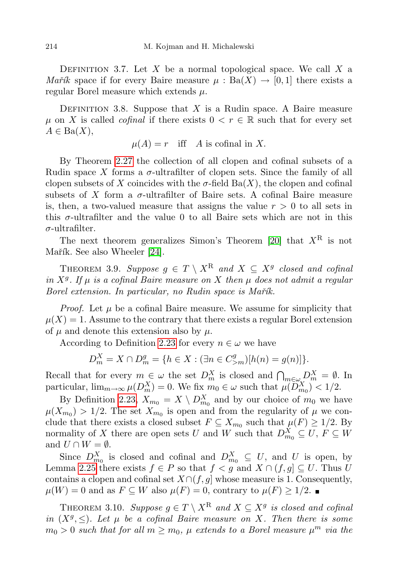DEFINITION 3.7. Let X be a normal topological space. We call  $X$  a *Mařík* space if for every Baire measure  $\mu$ : Ba $(X) \rightarrow [0, 1]$  there exists a regular Borel measure which extends  $\mu$ .

<span id="page-17-0"></span>DEFINITION 3.8. Suppose that  $X$  is a Rudin space. A Baire measure  $\mu$  on X is called *cofinal* if there exists  $0 \lt r \in \mathbb{R}$  such that for every set  $A \in \text{Ba}(X)$ ,

 $\mu(A) = r$  iff A is cofinal in X.

By Theorem [2.27](#page-11-2) the collection of all clopen and cofinal subsets of a Rudin space X forms a  $\sigma$ -ultrafilter of clopen sets. Since the family of all clopen subsets of X coincides with the  $\sigma$ -field Ba(X), the clopen and cofinal subsets of X form a  $\sigma$ -ultrafilter of Baire sets. A cofinal Baire measure is, then, a two-valued measure that assigns the value  $r > 0$  to all sets in this  $\sigma$ -ultrafilter and the value 0 to all Baire sets which are not in this  $\sigma$ -ultrafilter.

The next theorem generalizes Simon's Theorem [\[20\]](#page-26-7) that  $X^R$  is not Mařík. See also Wheeler [\[24\]](#page-26-5).

<span id="page-17-2"></span>THEOREM 3.9. Suppose  $g \in T \setminus X^R$  and  $X \subseteq X^g$  closed and cofinal in  $X<sup>g</sup>$ . If  $\mu$  is a cofinal Baire measure on X then  $\mu$  does not admit a regular Borel extension. In particular, no Rudin space is Mařík.

*Proof.* Let  $\mu$  be a cofinal Baire measure. We assume for simplicity that  $\mu(X) = 1$ . Assume to the contrary that there exists a regular Borel extension of  $\mu$  and denote this extension also by  $\mu$ .

According to Definition [2.23](#page-10-1) for every  $n \in \omega$  we have

$$
D_m^X = X \cap D_m^g = \{ h \in X : (\exists n \in C_{>m}^g) [h(n) = g(n)] \}.
$$

Recall that for every  $m \in \omega$  the set  $D_m^X$  is closed and  $\bigcap_{m \in \omega} D_m^X = \emptyset$ . In particular,  $\lim_{m\to\infty}\mu(D_m^X)=0$ . We fix  $m_0\in\omega$  such that  $\mu(D_{m_0}^X)<1/2$ .

By Definition [2.23,](#page-10-1)  $X_{m_0} = X \setminus D_{m_0}^X$  and by our choice of  $m_0$  we have  $\mu(X_{m_0}) > 1/2$ . The set  $X_{m_0}$  is open and from the regularity of  $\mu$  we conclude that there exists a closed subset  $F \subseteq X_{m_0}$  such that  $\mu(F) \geq 1/2$ . By normality of X there are open sets U and W such that  $D_{m_0}^X \subseteq U, F \subseteq W$ and  $U \cap W = \emptyset$ .

Since  $D_{m_0}^X$  is closed and cofinal and  $D_{m_0}^X \subseteq U$ , and U is open, by Lemma [2.25](#page-10-0) there exists  $f \in P$  so that  $f < g$  and  $X \cap (f, g] \subseteq U$ . Thus U contains a clopen and cofinal set  $X\cap (f,g]$  whose measure is 1. Consequently,  $\mu(W) = 0$  and as  $F \subseteq W$  also  $\mu(F) = 0$ , contrary to  $\mu(F) \geq 1/2$ .

<span id="page-17-1"></span>THEOREM 3.10. Suppose  $g \in T \setminus X^{\mathbf{R}}$  and  $X \subseteq X^g$  is closed and cofinal in  $(X^g, \leq)$ . Let  $\mu$  be a cofinal Baire measure on X. Then there is some  $m_0 > 0$  such that for all  $m \ge m_0$ ,  $\mu$  extends to a Borel measure  $\mu^m$  via the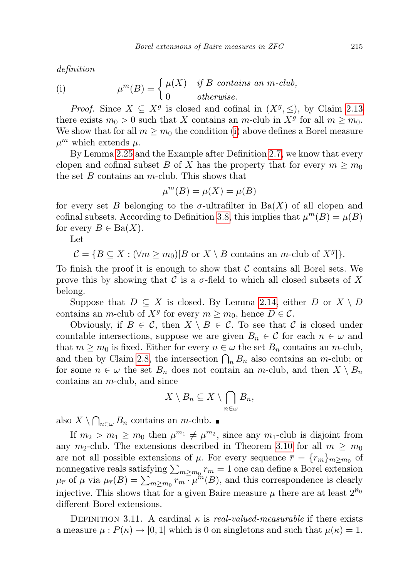definition

<span id="page-18-0"></span>(i) 
$$
\mu^{m}(B) = \begin{cases} \mu(X) & \text{if } B \text{ contains an } m\text{-club,} \\ 0 & \text{otherwise.} \end{cases}
$$

*Proof.* Since  $X \subseteq X^g$  is closed and cofinal in  $(X^g, \leq)$ , by Claim [2.13](#page-8-0) there exists  $m_0 > 0$  such that X contains an m-club in  $X<sup>g</sup>$  for all  $m \ge m_0$ . We show that for all  $m \geq m_0$  the condition [\(i\)](#page-18-0) above defines a Borel measure  $\mu^m$  which extends  $\mu$ .

By Lemma [2.25](#page-10-0) and the Example after Definition [2.7,](#page-5-0) we know that every clopen and cofinal subset B of X has the property that for every  $m \geq m_0$ the set  $B$  contains an  $m$ -club. This shows that

$$
\mu^m(B) = \mu(X) = \mu(B)
$$

for every set B belonging to the  $\sigma$ -ultrafilter in Ba(X) of all clopen and cofinal subsets. According to Definition [3.8,](#page-17-0) this implies that  $\mu^{m}(B) = \mu(B)$ for every  $B \in \text{Ba}(X)$ .

Let

 $\mathcal{C} = \{B \subseteq X : (\forall m \ge m_0)[B \text{ or } X \setminus B \text{ contains an } m\text{-club of } X^g]\}.$ 

To finish the proof it is enough to show that  $\mathcal C$  contains all Borel sets. We prove this by showing that C is a  $\sigma$ -field to which all closed subsets of X belong.

Suppose that  $D \subseteq X$  is closed. By Lemma [2.14,](#page-8-1) either D or  $X \setminus D$ contains an *m*-club of  $X^g$  for every  $m \ge m_0$ , hence  $D \in \mathcal{C}$ .

Obviously, if  $B \in \mathcal{C}$ , then  $X \setminus B \in \mathcal{C}$ . To see that  $\mathcal{C}$  is closed under countable intersections, suppose we are given  $B_n \in \mathcal{C}$  for each  $n \in \omega$  and that  $m \geq m_0$  is fixed. Either for every  $n \in \omega$  the set  $B_n$  contains an m-club, and then by Claim [2.8,](#page-6-0) the intersection  $\bigcap_n B_n$  also contains an m-club; or for some  $n \in \omega$  the set  $B_n$  does not contain an m-club, and then  $X \setminus B_n$ contains an m-club, and since

$$
X\setminus B_n\subseteq X\setminus \bigcap_{n\in\omega}B_n,
$$

also  $X \setminus \bigcap_{n \in \omega} B_n$  contains an m-club.

If  $m_2 > m_1 \ge m_0$  then  $\mu^{m_1} \ne \mu^{m_2}$ , since any  $m_1$ -club is disjoint from any  $m_2$ -club. The extensions described in Theorem [3.10](#page-17-1) for all  $m \geq m_0$ are not all possible extensions of  $\mu$ . For every sequence  $\bar{r} = \{r_m\}_{m \geq m_0}$  of nonnegative reals satisfying  $\sum_{m\geq m_0} r_m = 1$  one can define a Borel extension  $\mu_{\overline{r}}$  of  $\mu$  via  $\mu_{\overline{r}}(B) = \sum_{m \geq m_0} \overline{r_m \cdot \mu^m}(B)$ , and this correspondence is clearly injective. This shows that for a given Baire measure  $\mu$  there are at least  $2^{\aleph_0}$ different Borel extensions.

DEFINITION 3.11. A cardinal  $\kappa$  is real-valued-measurable if there exists a measure  $\mu : P(\kappa) \to [0, 1]$  which is 0 on singletons and such that  $\mu(\kappa) = 1$ .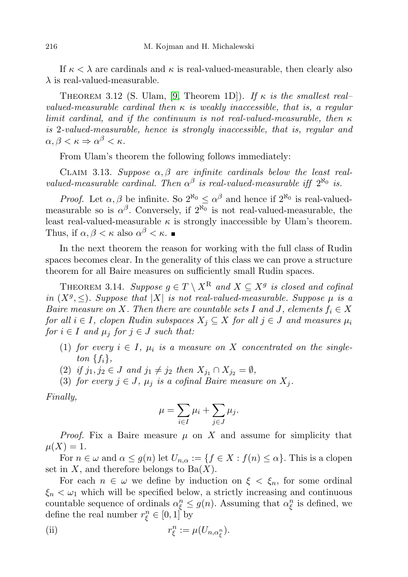If  $\kappa < \lambda$  are cardinals and  $\kappa$  is real-valued-measurable, then clearly also  $\lambda$  is real-valued-measurable.

<span id="page-19-1"></span>THEOREM 3.12 (S. Ulam, [\[9,](#page-25-7) Theorem 1D]). If  $\kappa$  is the smallest real– valued-measurable cardinal then  $\kappa$  is weakly inaccessible, that is, a regular limit cardinal, and if the continuum is not real-valued-measurable, then  $\kappa$ is 2-valued-measurable, hence is strongly inaccessible, that is, regular and  $\alpha, \beta < \kappa \Rightarrow \alpha^{\beta} < \kappa.$ 

From Ulam's theorem the following follows immediately:

<span id="page-19-2"></span>CLAIM 3.13. Suppose  $\alpha, \beta$  are infinite cardinals below the least realvalued-measurable cardinal. Then  $\alpha^{\beta}$  is real-valued-measurable iff  $2^{\aleph_0}$  is.

*Proof.* Let  $\alpha, \beta$  be infinite. So  $2^{\aleph_0} \leq \alpha^{\beta}$  and hence if  $2^{\aleph_0}$  is real-valuedmeasurable so is  $\alpha^{\beta}$ . Conversely, if  $2^{\aleph_0}$  is not real-valued-measurable, the least real-valued-measurable  $\kappa$  is strongly inaccessible by Ulam's theorem. Thus, if  $\alpha, \beta < \kappa$  also  $\alpha^{\beta} < \kappa$ .

In the next theorem the reason for working with the full class of Rudin spaces becomes clear. In the generality of this class we can prove a structure theorem for all Baire measures on sufficiently small Rudin spaces.

<span id="page-19-0"></span>THEOREM 3.14. Suppose  $g \in T \setminus X^{\mathcal{R}}$  and  $X \subseteq X^g$  is closed and cofinal in  $(X^g, \leq)$ . Suppose that  $|X|$  is not real-valued-measurable. Suppose  $\mu$  is a Baire measure on X. Then there are countable sets I and J, elements  $f_i \in X$ for all  $i \in I$ , clopen Rudin subspaces  $X_j \subseteq X$  for all  $j \in J$  and measures  $\mu_i$ for  $i \in I$  and  $\mu_i$  for  $j \in J$  such that:

- (1) for every  $i \in I$ ,  $\mu_i$  is a measure on X concentrated on the singleton  $\{f_i\},\$
- (2) if  $j_1, j_2 \in J$  and  $j_1 \neq j_2$  then  $X_{j_1} \cap X_{j_2} = \emptyset$ ,
- (3) for every  $j \in J$ ,  $\mu_j$  is a cofinal Baire measure on  $X_j$ .

Finally,

$$
\mu = \sum_{i \in I} \mu_i + \sum_{j \in J} \mu_j.
$$

*Proof.* Fix a Baire measure  $\mu$  on X and assume for simplicity that  $\mu(X) = 1.$ 

For  $n \in \omega$  and  $\alpha \le g(n)$  let  $U_{n,\alpha} := \{f \in X : f(n) \le \alpha\}$ . This is a clopen set in  $X$ , and therefore belongs to  $Ba(X)$ .

For each  $n \in \omega$  we define by induction on  $\xi < \xi_n$ , for some ordinal  $\xi_n < \omega_1$  which will be specified below, a strictly increasing and continuous countable sequence of ordinals  $\alpha_{\xi}^{n} \leq g(n)$ . Assuming that  $\alpha_{\xi}^{n}$  is defined, we define the real number  $r_{\xi}^{n} \in [0,1]$  by

(ii) 
$$
r_{\xi}^{n} := \mu(U_{n,\alpha_{\xi}^{n}}).
$$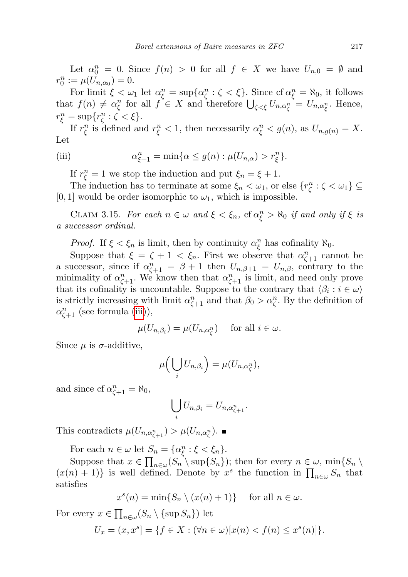Let  $\alpha_0^n = 0$ . Since  $f(n) > 0$  for all  $f \in X$  we have  $U_{n,0} = \emptyset$  and  $r_0^n := \mu(U_{n,\alpha_0}) = 0.$ 

For limit  $\xi < \omega_1$  let  $\alpha_{\xi}^n = \sup \{ \alpha_{\zeta}^n : \zeta < \xi \}$ . Since  $\text{cf } \alpha_{\xi}^n = \aleph_0$ , it follows that  $f(n) \neq \alpha_{\xi}^{n}$  for all  $f \in X$  and therefore  $\bigcup_{\zeta < \xi} U_{n,\alpha_{\zeta}^{n}} = U_{n,\alpha_{\xi}^{n}}$ . Hence,  $r_{\xi}^{n} = \sup \{ r_{\zeta}^{n} : \zeta < \xi \}.$ 

If  $r_{\xi}^{n}$  is defined and  $r_{\xi}^{n} < 1$ , then necessarily  $\alpha_{\xi}^{n} < g(n)$ , as  $U_{n,g(n)} = X$ . Let

(iii) 
$$
\alpha_{\xi+1}^n = \min\{\alpha \le g(n) : \mu(U_{n,\alpha}) > r_{\xi}^n\}.
$$

<span id="page-20-0"></span>If  $r_{\xi}^{n} = 1$  we stop the induction and put  $\xi_{n} = \xi + 1$ .

The induction has to terminate at some  $\xi_n < \omega_1$ , or else  $\{r_\zeta^n : \zeta < \omega_1\} \subseteq$  $[0, 1]$  would be order isomorphic to  $\omega_1$ , which is impossible.

CLAIM 3.15. For each  $n \in \omega$  and  $\xi < \xi_n$ , cf  $\alpha_{\xi}^n > \aleph_0$  if and only if  $\xi$  is a successor ordinal.

*Proof.* If  $\xi < \xi_n$  is limit, then by continuity  $\alpha_{\xi}^n$  has cofinality  $\aleph_0$ .

Suppose that  $\xi = \zeta + 1 < \xi_n$ . First we observe that  $\alpha_{\zeta+1}^n$  cannot be a successor, since if  $\alpha_{\zeta+1}^n = \beta + 1$  then  $U_{n,\beta+1} = U_{n,\beta}$ , contrary to the minimality of  $\alpha_{\zeta+1}^n$ . We know then that  $\alpha_{\zeta+1}^n$  is limit, and need only prove that its cofinality is uncountable. Suppose to the contrary that  $\langle \beta_i : i \in \omega \rangle$ is strictly increasing with limit  $\alpha_{\zeta+1}^n$  and that  $\beta_0 > \alpha_{\zeta}^n$ . By the definition of  $\alpha_{\zeta+1}^n$  (see formula [\(iii\)](#page-20-0)),

$$
\mu(U_{n,\beta_i}) = \mu(U_{n,\alpha_{\zeta}^n}) \quad \text{ for all } i \in \omega.
$$

Since  $\mu$  is  $\sigma$ -additive,

$$
\mu\Big(\bigcup_i U_{n,\beta_i}\Big)=\mu(U_{n,\alpha_{\zeta}^n}),
$$

and since cf  $\alpha_{\zeta+1}^n = \aleph_0$ ,

$$
\bigcup_i U_{n,\beta_i} = U_{n,\alpha_{\zeta+1}^n}.
$$

This contradicts  $\mu(U_{n,\alpha_{\zeta+1}^n}) > \mu(U_{n,\alpha_{\zeta}^n}).$ 

For each  $n \in \omega$  let  $S_n = {\alpha_{\xi}^n : \xi < \xi_n}.$ 

Suppose that  $x \in \prod_{n \in \omega} (S_n \setminus \sup\{S_n\})$ ; then for every  $n \in \omega$ ,  $\min\{S_n \setminus S_n\}$  $(x(n) + 1)$  is well defined. Denote by  $x^s$  the function in  $\prod_{n \in \omega} S_n$  that satisfies

$$
x^{s}(n) = \min\{S_n \setminus (x(n) + 1)\} \quad \text{ for all } n \in \omega.
$$

For every  $x \in \prod_{n \in \omega} (S_n \setminus {\text{sup } S_n})$  let

$$
U_x = (x, x^s) = \{ f \in X : (\forall n \in \omega) [x(n) < f(n) \leq x^s(n)] \}.
$$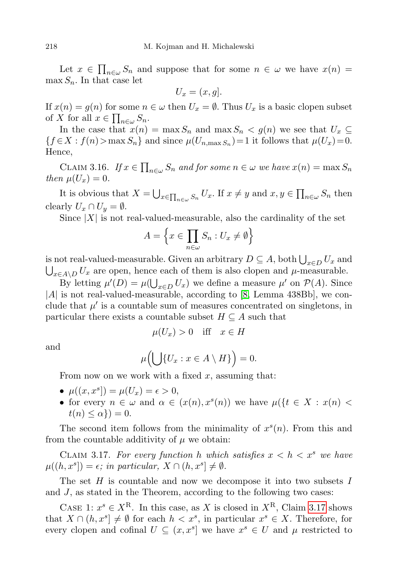Let  $x \in \prod_{n \in \omega} S_n$  and suppose that for some  $n \in \omega$  we have  $x(n) =$  $\max S_n$ . In that case let

$$
U_x = (x, g].
$$

If  $x(n) = g(n)$  for some  $n \in \omega$  then  $U_x = \emptyset$ . Thus  $U_x$  is a basic clopen subset of X for all  $x \in \prod_{n \in \omega} S_n$ .

In the case that  $x(n) = \max S_n$  and  $\max S_n < g(n)$  we see that  $U_x \subseteq$  ${f \in X : f(n) > \max S_n}$  and since  $\mu(U_{n,\max S_n}) = 1$  it follows that  $\mu(U_x) = 0$ . Hence,

CLAIM 3.16. If  $x \in \prod_{n \in \omega} S_n$  and for some  $n \in \omega$  we have  $x(n) = \max S_n$ then  $\mu(U_x)=0$ .

It is obvious that  $X = \bigcup_{x \in \prod_{n \in \omega} S_n} U_x$ . If  $x \neq y$  and  $x, y \in \prod_{n \in \omega} S_n$  then clearly  $U_x \cap U_y = \emptyset$ .

Since  $|X|$  is not real-valued-measurable, also the cardinality of the set

$$
A = \left\{ x \in \prod_{n \in \omega} S_n : U_x \neq \emptyset \right\}
$$

is not real-valued-measurable. Given an arbitrary  $D \subseteq A$ , both  $\bigcup_{x \in D} U_x$  and  $\bigcup_{x \in A \setminus D} U_x$  are open, hence each of them is also clopen and  $\mu$ -measurable.

By letting  $\mu'(D) = \mu(\bigcup_{x \in D} U_x)$  we define a measure  $\mu'$  on  $\mathcal{P}(A)$ . Since  $|A|$  is not real-valued-measurable, according to [\[8,](#page-25-1) Lemma 438Bb], we conclude that  $\mu'$  is a countable sum of measures concentrated on singletons, in particular there exists a countable subset  $H \subseteq A$  such that

$$
\mu(U_x) > 0 \quad \text{iff} \quad x \in H
$$

and

$$
\mu\big(\bigcup\{U_x : x \in A \setminus H\}\big) = 0.
$$

From now on we work with a fixed  $x$ , assuming that:

- $\mu((x, x^s]) = \mu(U_x) = \epsilon > 0,$
- for every  $n \in \omega$  and  $\alpha \in (x(n), x^{s}(n))$  we have  $\mu({t \in X : x(n) \leq \omega})$  $t(n) \leq \alpha$ } = 0.

The second item follows from the minimality of  $x^s(n)$ . From this and from the countable additivity of  $\mu$  we obtain:

<span id="page-21-0"></span>CLAIM 3.17. For every function h which satisfies  $x < h < x^s$  we have  $\mu((h, x^s]) = \epsilon$ ; in particular,  $X \cap (h, x^s] \neq \emptyset$ .

The set  $H$  is countable and now we decompose it into two subsets  $I$ and J, as stated in the Theorem, according to the following two cases:

CASE 1:  $x^s \in X^{\mathcal{R}}$ . In this case, as X is closed in  $X^{\mathcal{R}}$ , Claim [3.17](#page-21-0) shows that  $X \cap (h, x^s] \neq \emptyset$  for each  $h < x^s$ , in particular  $x^s \in X$ . Therefore, for every clopen and cofinal  $U \subseteq (x, x^s]$  we have  $x^s \in U$  and  $\mu$  restricted to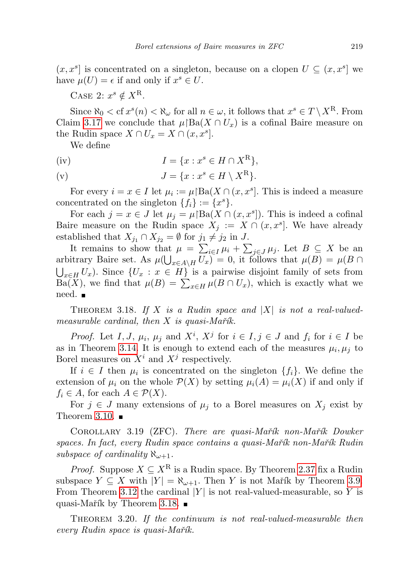$(x, x<sup>s</sup>)$  is concentrated on a singleton, because on a clopen  $U \subseteq (x, x<sup>s</sup>)$  we have  $\mu(U) = \epsilon$  if and only if  $x^s \in U$ .

CASE 2:  $x^s \notin X^{\mathcal{R}}$ .

Since  $\aleph_0 < \operatorname{cf} x^s(n) < \aleph_\omega$  for all  $n \in \omega$ , it follows that  $x^s \in T \setminus X^{\mathbf{R}}$ . From Claim [3.17](#page-21-0) we conclude that  $\mu$ |Ba $(X \cap U_x)$  is a cofinal Baire measure on the Rudin space  $X \cap U_x = X \cap (x, x^s]$ .

We define

$$
I = \{x : x^s \in H \cap X^R\},\
$$
  
(v)  

$$
J = \{x : x^s \in H \setminus X^R\}.
$$

For every  $i = x \in I$  let  $\mu_i := \mu \restriction \text{Ba}(X \cap (x, x^s])$ . This is indeed a measure concentrated on the singleton  $\{f_i\} := \{x^s\}.$ 

For each  $j = x \in J$  let  $\mu_j = \mu[\text{Ba}(X \cap (x, x^s])]$ . This is indeed a cofinal Baire measure on the Rudin space  $X_j := X \cap (x, x^s]$ . We have already established that  $X_{j_1} \cap X_{j_2} = \emptyset$  for  $j_1 \neq j_2$  in J.

It remains to show that  $\mu = \sum_{i \in I} \mu_i + \sum_{j \in J} \mu_j$ . Let  $B \subseteq X$  be an arbitrary Baire set. As  $\mu(\bigcup_{x \in A \setminus H} U_x) = 0$ , it follows that  $\mu(B) = \mu(B \cap$  $\bigcup_{x\in H} U_x$ ). Since  $\{U_x : x \in H\}$  is a pairwise disjoint family of sets from Ba(X), we find that  $\mu(B) = \sum_{x \in H} \mu(B \cap U_x)$ , which is exactly what we need. ■

<span id="page-22-0"></span>THEOREM 3.18. If X is a Rudin space and  $|X|$  is not a real-valuedmeasurable cardinal, then  $X$  is quasi-Marth.

*Proof.* Let I, J,  $\mu_i$ ,  $\mu_j$  and  $X^i$ ,  $X^j$  for  $i \in I$ ,  $j \in J$  and  $f_i$  for  $i \in I$  be as in Theorem [3.14.](#page-19-0) It is enough to extend each of the measures  $\mu_i, \mu_j$  to Borel measures on  $X^i$  and  $X^j$  respectively.

If  $i \in I$  then  $\mu_i$  is concentrated on the singleton  $\{f_i\}$ . We define the extension of  $\mu_i$  on the whole  $\mathcal{P}(X)$  by setting  $\mu_i(A) = \mu_i(X)$  if and only if  $f_i \in A$ , for each  $A \in \mathcal{P}(X)$ .

For  $j \in J$  many extensions of  $\mu_j$  to a Borel measures on  $X_j$  exist by Theorem [3.10.](#page-17-1)  $\blacksquare$ 

COROLLARY 3.19 (ZFC). There are quasi-Mařík non-Mařík Dowker spaces. In fact, every Rudin space contains a quasi-Mar´ik non-Mar´ik Rudin subspace of cardinality  $\aleph_{\omega+1}$ .

*Proof.* Suppose  $X \subseteq X^R$  is a Rudin space. By Theorem [2.37](#page-15-1) fix a Rudin subspace  $Y \subseteq X$  with  $|Y| = \aleph_{\omega+1}$ . Then Y is not Mařík by Theorem [3.9.](#page-17-2) From Theorem [3.12](#page-19-1) the cardinal  $|Y|$  is not real-valued-measurable, so Y is quasi-Mařík by Theorem [3.18.](#page-22-0)

THEOREM 3.20. If the continuum is not real-valued-measurable then every Rudin space is quasi-Mar $\tilde{\imath}k$ .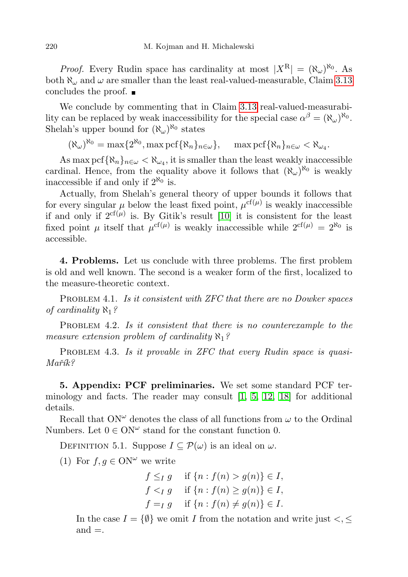*Proof.* Every Rudin space has cardinality at most  $|X^R| = (\aleph_\omega)^{\aleph_0}$ . As both  $\aleph_{\omega}$  and  $\omega$  are smaller than the least real-valued-measurable, Claim [3.13](#page-19-2) concludes the proof.

We conclude by commenting that in Claim [3.13](#page-19-2) real-valued-measurability can be replaced by weak inaccessibility for the special case  $\alpha^{\beta} = (\aleph_{\omega})^{\aleph_0}$ . Shelah's upper bound for  $(\aleph_{\omega})^{\aleph_0}$  states

 $(\aleph_{\omega})^{\aleph_0} = \max\{2^{\aleph_0}, \max\text{pcf}\{\aleph_n\}_{n\in\omega}\}, \quad \max\text{pcf}\{\aleph_n\}_{n\in\omega} < \aleph_{\omega_4}.$ 

As max pcf  $\{\aleph_n\}_{n\in\omega}<\aleph_{\omega_4}$ , it is smaller than the least weakly inaccessible cardinal. Hence, from the equality above it follows that  $(\aleph_{\omega})^{\aleph_0}$  is weakly inaccessible if and only if  $2^{\aleph_0}$  is.

Actually, from Shelah's general theory of upper bounds it follows that for every singular  $\mu$  below the least fixed point,  $\mu^{\text{cf}(\mu)}$  is weakly inaccessible if and only if  $2^{cf(\mu)}$  is. By Gitik's result [\[10\]](#page-26-10) it is consistent for the least fixed point  $\mu$  itself that  $\mu^{cf(\mu)}$  is weakly inaccessible while  $2^{cf(\mu)} = 2^{\aleph_0}$  is accessible.

<span id="page-23-0"></span>4. Problems. Let us conclude with three problems. The first problem is old and well known. The second is a weaker form of the first, localized to the measure-theoretic context.

PROBLEM 4.1. Is it consistent with ZFC that there are no Dowker spaces of cardinality  $\aleph_1$ ?

PROBLEM 4.2. Is it consistent that there is no counterexample to the measure extension problem of cardinality  $\aleph_1$ ?

PROBLEM 4.3. Is it provable in ZFC that every Rudin space is quasi- $M$ ařík?

5. Appendix: PCF preliminaries. We set some standard PCF terminology and facts. The reader may consult [\[1,](#page-25-8) [5,](#page-25-9) [12,](#page-26-11) [18\]](#page-26-9) for additional details.

Recall that  $\text{ON}^{\omega}$  denotes the class of all functions from  $\omega$  to the Ordinal Numbers. Let  $0 \in ON^{\omega}$  stand for the constant function 0.

<span id="page-23-1"></span>DEFINITION 5.1. Suppose  $I \subseteq \mathcal{P}(\omega)$  is an ideal on  $\omega$ .

(1) For  $f, g \in \Omega N^{\omega}$  we write

$$
f \leq_I g
$$
 if  $\{n : f(n) > g(n)\} \in I$ ,  
\n $f <_I g$  if  $\{n : f(n) \geq g(n)\} \in I$ ,  
\n $f =_I g$  if  $\{n : f(n) \neq g(n)\} \in I$ .

In the case  $I = \{ \emptyset \}$  we omit I from the notation and write just  $\lt, \leq$  $and =$ .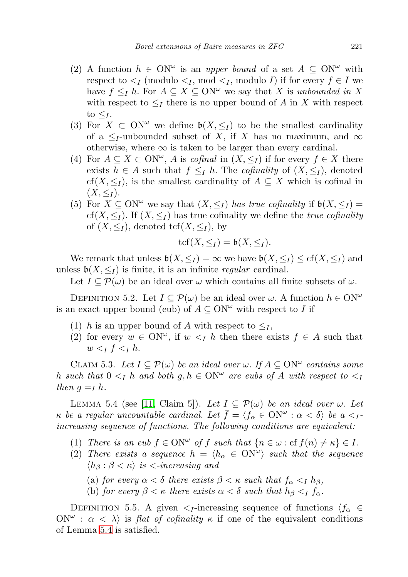- (2) A function  $h \in ON^{\omega}$  is an upper bound of a set  $A \subseteq ON^{\omega}$  with respect to  $\leq_I$  (modulo  $\leq_I$ , mod  $\leq_I$ , modulo I) if for every  $f \in I$  we have  $f \leq_I h$ . For  $A \subseteq X \subseteq ON^{\omega}$  we say that X is unbounded in X with respect to  $\leq_I$  there is no upper bound of A in X with respect to  $\leq_I$ .
- (3) For  $X \subset \mathbb{N}^{\omega}$  we define  $\mathfrak{b}(X, \leq_I)$  to be the smallest cardinality of a  $\leq_I$ -unbounded subset of X, if X has no maximum, and  $\infty$ otherwise, where  $\infty$  is taken to be larger than every cardinal.
- (4) For  $A \subseteq X \subset \mathbb{N}^{\omega}$ , A is cofinal in  $(X, \leq_I)$  if for every  $f \in X$  there exists  $h \in A$  such that  $f \leq I$  h. The *cofinality* of  $(X, \leq I)$ , denoted cf(X,  $\leq_I$ ), is the smallest cardinality of  $A \subseteq X$  which is cofinal in  $(X, \leq_I)$ .
- (5) For  $X \subseteq ON^{\omega}$  we say that  $(X, \leq_I)$  has true cofinality if  $\mathfrak{b}(X, \leq_I)$  = cf(X,  $\leq_I$ ). If  $(X, \leq_I)$  has true cofinality we define the *true cofinality* of  $(X, \leq_I)$ , denoted tcf $(X, \leq_I)$ , by

$$
\operatorname{tcf}(X,\leq_I)=\mathfrak{b}(X,\leq_I).
$$

We remark that unless  $\mathfrak{b}(X, \leq_I) = \infty$  we have  $\mathfrak{b}(X, \leq_I) \leq \mathrm{cf}(X, \leq_I)$  and unless  $\mathfrak{b}(X, \leq_I)$  is finite, it is an infinite *regular* cardinal.

Let  $I \subseteq \mathcal{P}(\omega)$  be an ideal over  $\omega$  which contains all finite subsets of  $\omega$ .

<span id="page-24-0"></span>DEFINITION 5.2. Let  $I \subseteq \mathcal{P}(\omega)$  be an ideal over  $\omega$ . A function  $h \in \Omega \mathbb{N}^{\omega}$ is an exact upper bound (eub) of  $A \subseteq ON^{\omega}$  with respect to I if

- (1) h is an upper bound of A with respect to  $\leq_I$ ,
- (2) for every  $w \in \text{ON}^{\omega}$ , if  $w \leq I$  h then there exists  $f \in A$  such that  $w <_I f <_I h$ .

<span id="page-24-2"></span>CLAIM 5.3. Let  $I \subseteq \mathcal{P}(\omega)$  be an ideal over  $\omega$ . If  $A \subseteq ON^{\omega}$  contains some h such that  $0 \leq I$  h and both  $g, h \in ON^{\omega}$  are eubs of A with respect to  $\leq I$ then  $g = I h$ .

<span id="page-24-3"></span>LEMMA 5.4 (see [\[11,](#page-26-12) Claim 5]). Let  $I \subseteq \mathcal{P}(\omega)$  be an ideal over  $\omega$ . Let  $\kappa$  be a regular uncountable cardinal. Let  $\bar{f} = \langle f_\alpha \in \mathrm{ON}^\omega : \alpha < \delta \rangle$  be  $a <_I$ increasing sequence of functions. The following conditions are equivalent:

- (1) There is an eub  $f \in ON^{\omega}$  of  $\overline{f}$  such that  $\{n \in \omega : \text{cf } f(n) \neq \kappa\} \in I$ .
- (2) There exists a sequence  $\overline{h} = \langle h_{\alpha} \in \mathrm{ON}^{\omega} \rangle$  such that the sequence  $\langle h_\beta : \beta < \kappa \rangle$  is  $\langle -increasing \text{ and}$ 
	- (a) for every  $\alpha < \delta$  there exists  $\beta < \kappa$  such that  $f_{\alpha} < I h_{\beta}$ ,
	- (b) for every  $\beta < \kappa$  there exists  $\alpha < \delta$  such that  $h_{\beta} < I$  f<sub>α</sub>.

<span id="page-24-1"></span>DEFINITION 5.5. A given  $\lt_{I}$ -increasing sequence of functions  $\langle f_{\alpha} \rangle \in$  $\text{ON}^{\omega}$ :  $\alpha < \lambda$  is flat of cofinality  $\kappa$  if one of the equivalent conditions of Lemma [5.4](#page-24-3) is satisfied.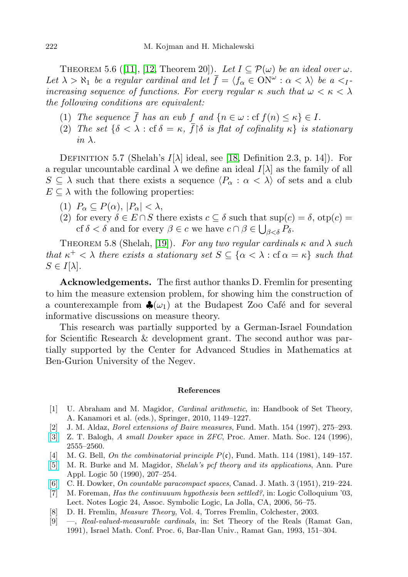THEOREM 5.6 ([\[11\]](#page-26-12), [\[12,](#page-26-11) Theorem 20]). Let  $I \subseteq \mathcal{P}(\omega)$  be an ideal over  $\omega$ . Let  $\lambda > \aleph_1$  be a regular cardinal and let  $\bar{f} = \langle f_\alpha \in \mathrm{ON}^\omega : \alpha < \lambda \rangle$  be  $a <_I$ increasing sequence of functions. For every regular  $\kappa$  such that  $\omega < \kappa < \lambda$ the following conditions are equivalent:

- (1) The sequence  $\bar{f}$  has an eub  $f$  and  $\{n \in \omega : \text{cf } f(n) \leq \kappa\} \in I$ .
- <span id="page-25-5"></span>(2) The set  $\{\delta < \lambda : \text{cf } \delta = \kappa, \bar{f} | \delta \text{ is flat of cofinality } \kappa \}$  is stationary in  $\lambda$ .

DEFINITION 5.7 (Shelah's  $I[\lambda]$  ideal, see [\[18,](#page-26-9) Definition 2.3, p. 14]). For a regular uncountable cardinal  $\lambda$  we define an ideal  $I[\lambda]$  as the family of all  $S \subseteq \lambda$  such that there exists a sequence  $\langle P_\alpha : \alpha < \lambda \rangle$  of sets and a club  $E \subseteq \lambda$  with the following properties:

- (1)  $P_{\alpha} \subseteq P(\alpha)$ ,  $|P_{\alpha}| < \lambda$ ,
- (2) for every  $\delta \in E \cap S$  there exists  $c \subseteq \delta$  such that  $\sup(c) = \delta$ ,  $\text{otp}(c) =$ cf  $\delta < \delta$  and for every  $\beta \in c$  we have  $c \cap \beta \in \bigcup_{\beta < \delta} P_{\delta}$ .

<span id="page-25-6"></span>THEOREM 5.8 (Shelah, [\[19\]](#page-26-13)). For any two regular cardinals  $\kappa$  and  $\lambda$  such that  $\kappa^+ < \lambda$  there exists a stationary set  $S \subseteq {\alpha < \lambda : \text{cf } \alpha = \kappa}$  such that  $S \in I[\lambda]$ .

Acknowledgements. The first author thanks D. Fremlin for presenting to him the measure extension problem, for showing him the construction of a counterexample from  $\clubsuit(\omega_1)$  at the Budapest Zoo Café and for several informative discussions on measure theory.

This research was partially supported by a German-Israel Foundation for Scientific Research & development grant. The second author was partially supported by the Center for Advanced Studies in Mathematics at Ben-Gurion University of the Negev.

## References

- <span id="page-25-8"></span>[1] U. Abraham and M. Magidor, Cardinal arithmetic, in: Handbook of Set Theory, A. Kanamori et al. (eds.), Springer, 2010, 1149–1227.
- <span id="page-25-3"></span>[2] J. M. Aldaz, Borel extensions of Baire measures, Fund. Math. 154 (1997), 275–293.
- <span id="page-25-0"></span>[\[3\]](http://dx.doi.org/10.1090/S0002-9939-96-03610-6) Z. T. Balogh, A small Dowker space in ZFC, Proc. Amer. Math. Soc. 124 (1996), 2555–2560.
- <span id="page-25-4"></span>[4] M. G. Bell, On the combinatorial principle  $P(\mathfrak{c})$ , Fund. Math. 114 (1981), 149–157.
- <span id="page-25-9"></span>[\[5\]](http://dx.doi.org/10.1016/0168-0072(90)90057-9) M. R. Burke and M. Magidor, Shelah's pcf theory and its applications, Ann. Pure Appl. Logic 50 (1990), 207–254.
- <span id="page-25-2"></span>[\[6\]](http://dx.doi.org/10.4153/CJM-1951-026-2) C. H. Dowker, On countable paracompact spaces, Canad. J. Math. 3 (1951), 219–224.
- [7] M. Foreman, Has the continuuum hypothesis been settled?, in: Logic Colloquium '03, Lect. Notes Logic 24, Assoc. Symbolic Logic, La Jolla, CA, 2006, 56–75.
- <span id="page-25-1"></span>[8] D. H. Fremlin, Measure Theory, Vol. 4, Torres Fremlin, Colchester, 2003.
- <span id="page-25-7"></span>[9] —, Real-valued-measurable cardinals, in: Set Theory of the Reals (Ramat Gan, 1991), Israel Math. Conf. Proc. 6, Bar-Ilan Univ., Ramat Gan, 1993, 151–304.